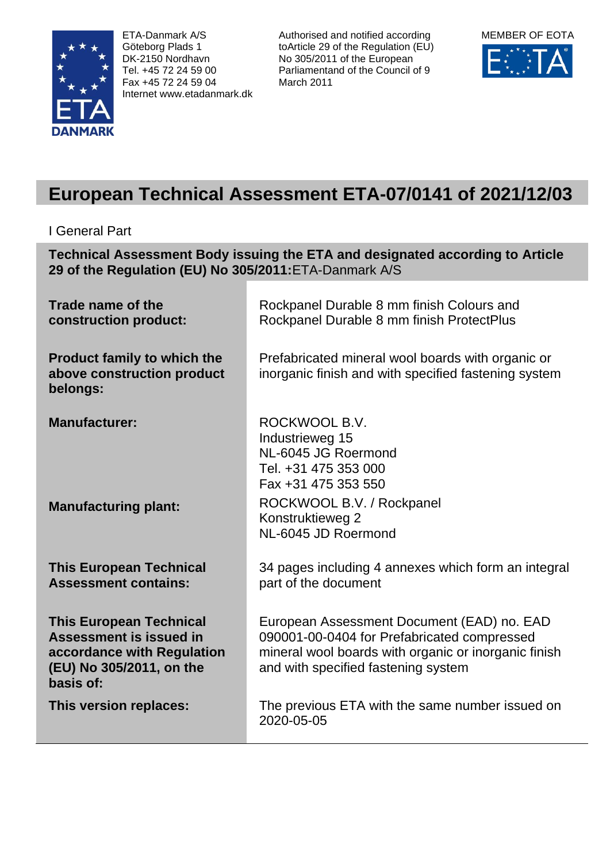

ETA-Danmark A/S Göteborg Plads 1 DK-2150 Nordhavn Tel. +45 72 24 59 00 Fax +45 72 24 59 04 Internet www.etadanmark.dk

Authorised and notified according toArticle 29 of the Regulation (EU) No 305/2011 of the European Parliamentand of the Council of 9 March 2011



# **European Technical Assessment ETA-07/0141 of 2021/12/03**

I General Part

**Technical Assessment Body issuing the ETA and designated according to Article 29 of the Regulation (EU) No 305/2011:**ETA-Danmark A/S

| Trade name of the<br>construction product:                                                                                       | Rockpanel Durable 8 mm finish Colours and<br>Rockpanel Durable 8 mm finish ProtectPlus                                                                                                   |
|----------------------------------------------------------------------------------------------------------------------------------|------------------------------------------------------------------------------------------------------------------------------------------------------------------------------------------|
| <b>Product family to which the</b><br>above construction product<br>belongs:                                                     | Prefabricated mineral wool boards with organic or<br>inorganic finish and with specified fastening system                                                                                |
| <b>Manufacturer:</b>                                                                                                             | ROCKWOOL B.V.<br>Industrieweg 15<br>NL-6045 JG Roermond<br>Tel. +31 475 353 000<br>Fax +31 475 353 550                                                                                   |
| <b>Manufacturing plant:</b>                                                                                                      | ROCKWOOL B.V. / Rockpanel<br>Konstruktieweg 2<br>NL-6045 JD Roermond                                                                                                                     |
| <b>This European Technical</b><br><b>Assessment contains:</b>                                                                    | 34 pages including 4 annexes which form an integral<br>part of the document                                                                                                              |
| <b>This European Technical</b><br>Assessment is issued in<br>accordance with Regulation<br>(EU) No 305/2011, on the<br>basis of: | European Assessment Document (EAD) no. EAD<br>090001-00-0404 for Prefabricated compressed<br>mineral wool boards with organic or inorganic finish<br>and with specified fastening system |
| This version replaces:                                                                                                           | The previous ETA with the same number issued on<br>2020-05-05                                                                                                                            |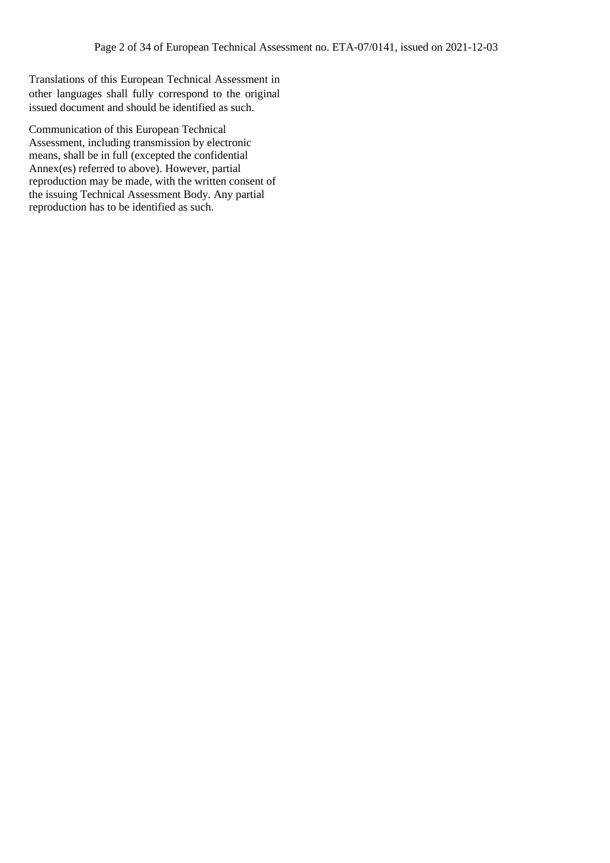Translations of this European Technical Assessment in other languages shall fully correspond to the original issued document and should be identified as such.

Communication of this European Technical Assessment, including transmission by electronic means, shall be in full (excepted the confidential Annex(es) referred to above). However, partial reproduction may be made, with the written consent of the issuing Technical Assessment Body. Any partial reproduction has to be identified as such.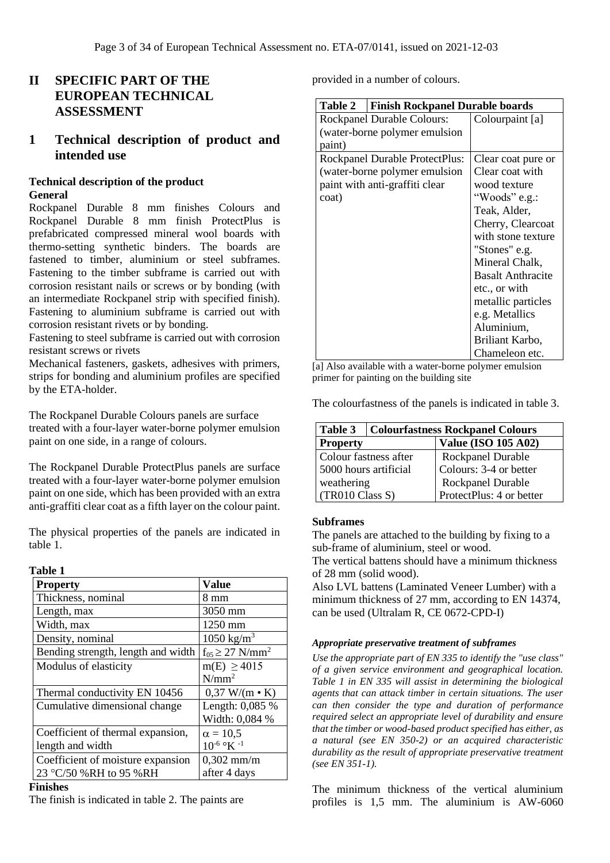# **II SPECIFIC PART OF THE EUROPEAN TECHNICAL ASSESSMENT**

# **1 Technical description of product and intended use**

### **Technical description of the product General**

Rockpanel Durable 8 mm finishes Colours and Rockpanel Durable 8 mm finish ProtectPlus is prefabricated compressed mineral wool boards with thermo-setting synthetic binders. The boards are fastened to timber, aluminium or steel subframes. Fastening to the timber subframe is carried out with corrosion resistant nails or screws or by bonding (with an intermediate Rockpanel strip with specified finish). Fastening to aluminium subframe is carried out with corrosion resistant rivets or by bonding.

Fastening to steel subframe is carried out with corrosion resistant screws or rivets

Mechanical fasteners, gaskets, adhesives with primers, strips for bonding and aluminium profiles are specified by the ETA-holder.

The Rockpanel Durable Colours panels are surface treated with a four-layer water-borne polymer emulsion paint on one side, in a range of colours.

The Rockpanel Durable ProtectPlus panels are surface treated with a four-layer water-borne polymer emulsion paint on one side, which has been provided with an extra anti-graffiti clear coat as a fifth layer on the colour paint.

The physical properties of the panels are indicated in table 1.

### **Table 1**

| <b>Property</b>                    | <b>Value</b>                       |
|------------------------------------|------------------------------------|
| Thickness, nominal                 | 8 mm                               |
| Length, max                        | 3050 mm                            |
| Width, max                         | 1250 mm                            |
| Density, nominal                   | 1050 kg/m <sup>3</sup>             |
| Bending strength, length and width | $f_{05} \geq 27$ N/mm <sup>2</sup> |
| Modulus of elasticity              | $m(E) \ge 4015$                    |
|                                    | $N/mm^2$                           |
| Thermal conductivity EN 10456      | $0,37 W/(m \cdot K)$               |
| Cumulative dimensional change      | Length: 0,085 %                    |
|                                    | Width: 0,084 %                     |
| Coefficient of thermal expansion,  | $\alpha = 10,5$                    |
| length and width                   | $10^{-6}$ °K $^{-1}$               |
| Coefficient of moisture expansion  | $0,302$ mm/m                       |
| 23 °C/50 %RH to 95 %RH             | after 4 days                       |

#### **Finishes**

The finish is indicated in table 2. The paints are

provided in a number of colours.

| Table 2 | <b>Finish Rockpanel Durable boards</b> |                          |
|---------|----------------------------------------|--------------------------|
|         | Rockpanel Durable Colours:             | Colourpaint [a]          |
|         | (water-borne polymer emulsion          |                          |
| paint)  |                                        |                          |
|         | Rockpanel Durable ProtectPlus:         | Clear coat pure or       |
|         | (water-borne polymer emulsion          | Clear coat with          |
|         | paint with anti-graffiti clear         | wood texture             |
| coat)   |                                        | "Woods" e.g.:            |
|         |                                        | Teak, Alder,             |
|         |                                        | Cherry, Clearcoat        |
|         |                                        | with stone texture       |
|         |                                        | "Stones" e.g.            |
|         |                                        | Mineral Chalk,           |
|         |                                        | <b>Basalt Anthracite</b> |
|         |                                        | etc., or with            |
|         |                                        | metallic particles       |
|         |                                        | e.g. Metallics           |
|         |                                        | Aluminium,               |
|         |                                        | Briliant Karbo,          |
|         |                                        | Chameleon etc.           |

[a] Also available with a water-borne polymer emulsion primer for painting on the building site

The colourfastness of the panels is indicated in table 3.

| <b>Colourfastness Rockpanel Colours</b><br>Table 3 |                            |
|----------------------------------------------------|----------------------------|
| <b>Property</b>                                    | <b>Value (ISO 105 A02)</b> |
| Colour fastness after                              | Rockpanel Durable          |
| 5000 hours artificial                              | Colours: 3-4 or better     |
| weathering                                         | Rockpanel Durable          |
| (TR010 Class S)                                    | ProtectPlus: 4 or better   |

#### **Subframes**

The panels are attached to the building by fixing to a sub-frame of aluminium, steel or wood.

The vertical battens should have a minimum thickness of 28 mm (solid wood).

Also LVL battens (Laminated Veneer Lumber) with a minimum thickness of 27 mm, according to EN 14374, can be used (Ultralam R, CE 0672-CPD-I)

#### *Appropriate preservative treatment of subframes*

*Use the appropriate part of EN 335 to identify the "use class" of a given service environment and geographical location. Table 1 in EN 335 will assist in determining the biological agents that can attack timber in certain situations. The user can then consider the type and duration of performance required select an appropriate level of durability and ensure that the timber or wood-based product specified has either, as a natural (see EN 350-2) or an acquired characteristic durability as the result of appropriate preservative treatment (see EN 351-1).*

The minimum thickness of the vertical aluminium profiles is 1,5 mm. The aluminium is AW-6060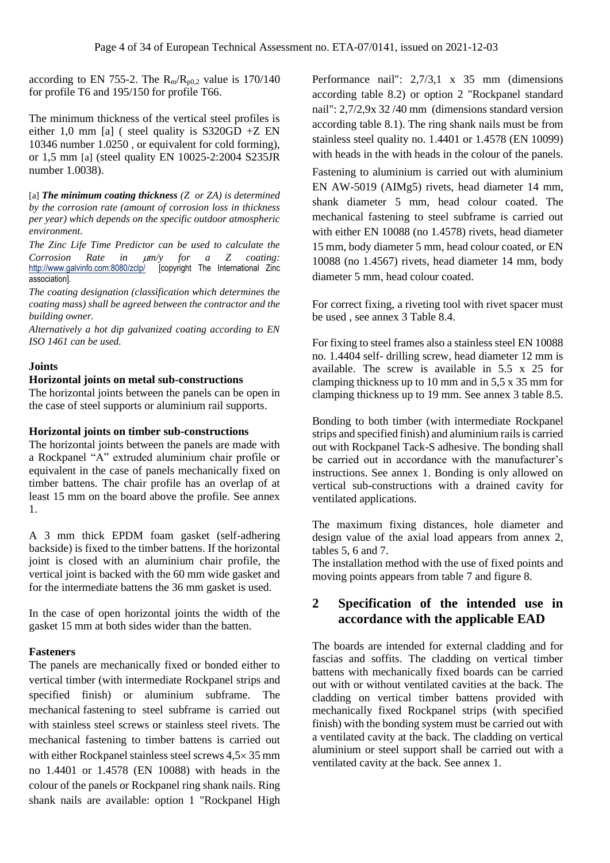according to EN 755-2. The  $R_m/R_{p0,2}$  value is 170/140 for profile T6 and 195/150 for profile T66.

The minimum thickness of the vertical steel profiles is either 1,0 mm [a] ( steel quality is  $S320GD + Z EN$ 10346 number 1.0250 , or equivalent for cold forming), or 1,5 mm [a] (steel quality EN 10025-2:2004 S235JR number 1.0038).

[a] *The minimum coating thickness (Z or ZA) is determined by the corrosion rate (amount of corrosion loss in thickness per year) which depends on the specific outdoor atmospheric environment.*

*The Zinc Life Time Predictor can be used to calculate the Corrosion Rate in m/y for a Z coating:*  <http://www.galvinfo.com:8080/zclp/>[copyright The International Zinc association].

*The coating designation (classification which determines the coating mass) shall be agreed between the contractor and the building owner.* 

*Alternatively a hot dip galvanized coating according to EN ISO 1461 can be used.*

#### **Joints**

#### **Horizontal joints on metal sub-constructions**

The horizontal joints between the panels can be open in the case of steel supports or aluminium rail supports.

#### **Horizontal joints on timber sub-constructions**

The horizontal joints between the panels are made with a Rockpanel "A" extruded aluminium chair profile or equivalent in the case of panels mechanically fixed on timber battens. The chair profile has an overlap of at least 15 mm on the board above the profile. See annex 1.

A 3 mm thick EPDM foam gasket (self-adhering backside) is fixed to the timber battens. If the horizontal joint is closed with an aluminium chair profile, the vertical joint is backed with the 60 mm wide gasket and for the intermediate battens the 36 mm gasket is used.

In the case of open horizontal joints the width of the gasket 15 mm at both sides wider than the batten.

#### **Fasteners**

The panels are mechanically fixed or bonded either to vertical timber (with intermediate Rockpanel strips and specified finish) or aluminium subframe. The mechanical fastening to steel subframe is carried out with stainless steel screws or stainless steel rivets. The mechanical fastening to timber battens is carried out with either Rockpanel stainless steel screws  $4.5 \times 35$  mm no 1.4401 or 1.4578 (EN 10088) with heads in the colour of the panels or Rockpanel ring shank nails. Ring shank nails are available: option 1 "Rockpanel High

Performance nail": 2,7/3,1 x 35 mm (dimensions according table 8.2) or option 2 "Rockpanel standard nail": 2,7/2,9x 32 /40 mm (dimensions standard version according table 8.1). The ring shank nails must be from stainless steel quality no. 1.4401 or 1.4578 (EN 10099) with heads in the with heads in the colour of the panels.

Fastening to aluminium is carried out with aluminium EN AW-5019 (AIMg5) rivets, head diameter 14 mm, shank diameter 5 mm, head colour coated. The mechanical fastening to steel subframe is carried out with either EN 10088 (no 1.4578) rivets, head diameter 15 mm, body diameter 5 mm, head colour coated, or EN 10088 (no 1.4567) rivets, head diameter 14 mm, body diameter 5 mm, head colour coated.

For correct fixing, a riveting tool with rivet spacer must be used , see annex 3 Table 8.4.

For fixing to steel frames also a stainless steel EN 10088 no. 1.4404 self- drilling screw, head diameter 12 mm is available. The screw is available in 5.5 x 25 for clamping thickness up to 10 mm and in 5,5 x 35 mm for clamping thickness up to 19 mm. See annex 3 table 8.5.

Bonding to both timber (with intermediate Rockpanel strips and specified finish) and aluminium rails is carried out with Rockpanel Tack-S adhesive. The bonding shall be carried out in accordance with the manufacturer's instructions. See annex 1. Bonding is only allowed on vertical sub-constructions with a drained cavity for ventilated applications.

The maximum fixing distances, hole diameter and design value of the axial load appears from annex 2, tables 5, 6 and 7.

The installation method with the use of fixed points and moving points appears from table 7 and figure 8.

# **2 Specification of the intended use in accordance with the applicable EAD**

The boards are intended for external cladding and for fascias and soffits. The cladding on vertical timber battens with mechanically fixed boards can be carried out with or without ventilated cavities at the back. The cladding on vertical timber battens provided with mechanically fixed Rockpanel strips (with specified finish) with the bonding system must be carried out with a ventilated cavity at the back. The cladding on vertical aluminium or steel support shall be carried out with a ventilated cavity at the back. See annex 1.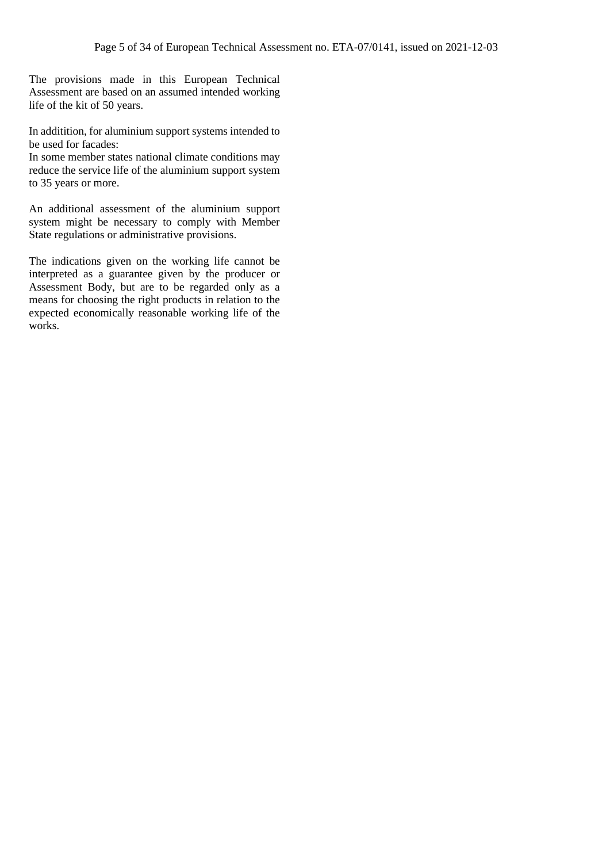The provisions made in this European Technical Assessment are based on an assumed intended working life of the kit of 50 years.

In additition, for aluminium support systems intended to be used for facades:

In some member states national climate conditions may reduce the service life of the aluminium support system to 35 years or more.

An additional assessment of the aluminium support system might be necessary to comply with Member State regulations or administrative provisions.

The indications given on the working life cannot be interpreted as a guarantee given by the producer or Assessment Body, but are to be regarded only as a means for choosing the right products in relation to the expected economically reasonable working life of the works.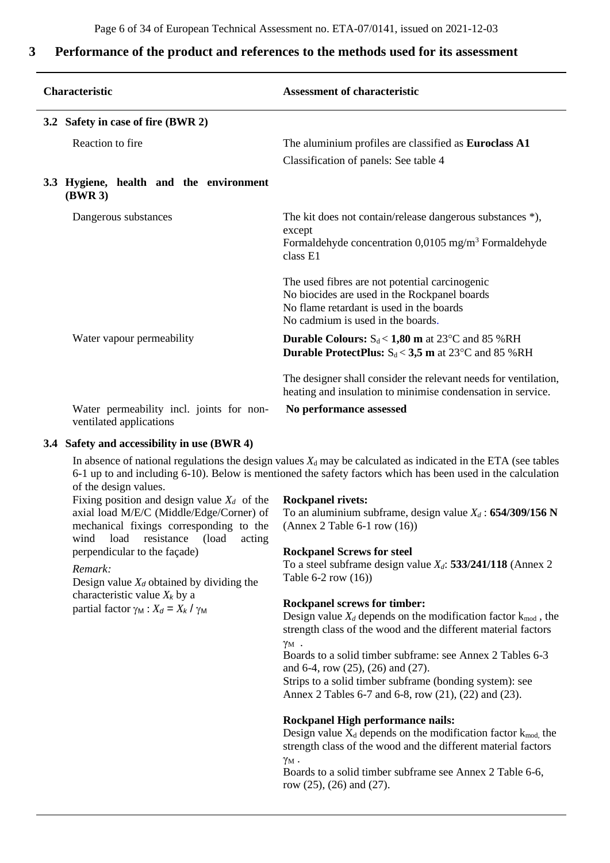# **3 Performance of the product and references to the methods used for its assessment**

| Characteristic                     |                                          | <b>Assessment of characteristic</b>                                                                                                                                             |
|------------------------------------|------------------------------------------|---------------------------------------------------------------------------------------------------------------------------------------------------------------------------------|
| 3.2 Safety in case of fire (BWR 2) |                                          |                                                                                                                                                                                 |
| Reaction to fire.                  |                                          | The aluminium profiles are classified as <b>Euroclass A1</b><br>Classification of panels: See table 4                                                                           |
| <b>(BWR 3)</b>                     | 3.3 Hygiene, health and the environment  |                                                                                                                                                                                 |
| Dangerous substances               |                                          | The kit does not contain/release dangerous substances *),<br>except<br>Formaldehyde concentration 0,0105 mg/m <sup>3</sup> Formaldehyde<br>class E1                             |
|                                    |                                          | The used fibres are not potential carcinogenic<br>No biocides are used in the Rockpanel boards<br>No flame retardant is used in the boards<br>No cadmium is used in the boards. |
|                                    | Water vapour permeability                | <b>Durable Colours:</b> $S_d < 1,80$ <b>m</b> at 23 <sup>o</sup> C and 85 % RH<br><b>Durable ProtectPlus:</b> $S_d < 3.5$ <b>m</b> at 23 <sup>o</sup> C and 85 % RH             |
|                                    |                                          | The designer shall consider the relevant needs for ventilation,<br>heating and insulation to minimise condensation in service.                                                  |
| ventilated applications            | Water permeability incl. joints for non- | No performance assessed                                                                                                                                                         |

#### **3.4 Safety and accessibility in use (BWR 4)**

In absence of national regulations the design values  $X_d$  may be calculated as indicated in the ETA (see tables 6-1 up to and including 6-10). Below is mentioned the safety factors which has been used in the calculation of the design values.

Fixing position and design value  $X_d$  of the axial load M/E/C (Middle/Edge/Corner) of mechanical fixings corresponding to the wind load resistance (load acting perpendicular to the façade)

#### *Remark:*

Design value  $X_d$  obtained by dividing the characteristic value *X<sup>k</sup>* by a partial factor  $\gamma_M$  :  $X_d = X_k / \gamma_M$ 

#### **Rockpanel rivets:**

To an aluminium subframe, design value *X<sup>d</sup>* : **654/309/156 N** (Annex 2 Table 6-1 row (16))

#### **Rockpanel Screws for steel**

To a steel subframe design value *Xd*: **533/241/118** (Annex 2 Table 6-2 row (16))

#### **Rockpanel screws for timber:**

Design value  $X_d$  depends on the modification factor  $k_{mod}$ , the strength class of the wood and the different material factors γ<sup>M</sup> .

Boards to a solid timber subframe: see Annex 2 Tables 6-3 and 6-4, row (25), (26) and (27). Strips to a solid timber subframe (bonding system): see

Annex 2 Tables 6-7 and 6-8, row (21), (22) and (23).

#### **Rockpanel High performance nails:**

Design value  $X_d$  depends on the modification factor  $k_{mod}$ , the strength class of the wood and the different material factors  $\gamma_M$ .

Boards to a solid timber subframe see Annex 2 Table 6-6, row (25), (26) and (27).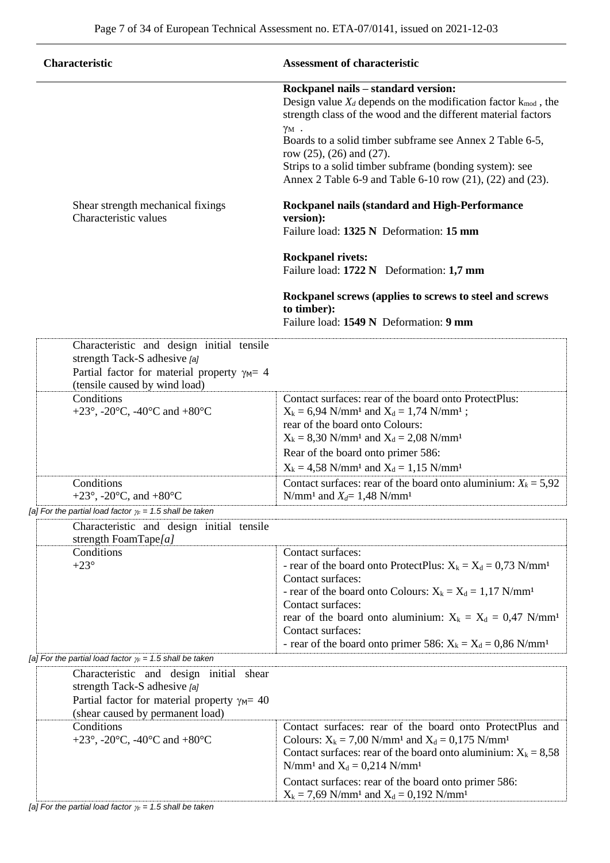| Characteristic                                                                                                                    | <b>Assessment of characteristic</b>                                                                                                                                                                                                                       |
|-----------------------------------------------------------------------------------------------------------------------------------|-----------------------------------------------------------------------------------------------------------------------------------------------------------------------------------------------------------------------------------------------------------|
|                                                                                                                                   | Rockpanel nails - standard version:<br>Design value $X_d$ depends on the modification factor $k_{mod}$ , the<br>strength class of the wood and the different material factors<br>$\gamma_M$ .<br>Boards to a solid timber subframe see Annex 2 Table 6-5, |
|                                                                                                                                   | row $(25)$ , $(26)$ and $(27)$ .<br>Strips to a solid timber subframe (bonding system): see<br>Annex 2 Table 6-9 and Table 6-10 row (21), (22) and (23).                                                                                                  |
| Shear strength mechanical fixings<br>Characteristic values                                                                        | Rockpanel nails (standard and High-Performance<br>version):<br>Failure load: 1325 N Deformation: 15 mm                                                                                                                                                    |
|                                                                                                                                   | <b>Rockpanel rivets:</b><br>Failure load: 1722 N Deformation: 1,7 mm                                                                                                                                                                                      |
|                                                                                                                                   | Rockpanel screws (applies to screws to steel and screws<br>to timber):<br>Failure load: 1549 N Deformation: 9 mm                                                                                                                                          |
| Characteristic and design initial tensile                                                                                         |                                                                                                                                                                                                                                                           |
| strength Tack-S adhesive [a]<br>Partial factor for material property $\gamma_M = 4$<br>(tensile caused by wind load)              |                                                                                                                                                                                                                                                           |
| Conditions<br>+23°, -20°C, -40°C and +80°C                                                                                        | Contact surfaces: rear of the board onto ProtectPlus:<br>$X_k = 6.94$ N/mm <sup>1</sup> and $X_d = 1.74$ N/mm <sup>1</sup> ;<br>rear of the board onto Colours:<br>$X_k = 8,30$ N/mm <sup>1</sup> and $X_d = 2,08$ N/mm <sup>1</sup>                      |
|                                                                                                                                   | Rear of the board onto primer 586:                                                                                                                                                                                                                        |
| Conditions                                                                                                                        | $X_k = 4,58$ N/mm <sup>1</sup> and $X_d = 1,15$ N/mm <sup>1</sup>                                                                                                                                                                                         |
| +23 $^{\circ}$ , -20 $^{\circ}$ C, and +80 $^{\circ}$ C                                                                           | Contact surfaces: rear of the board onto aluminium: $X_k = 5.92$<br>N/mm <sup>1</sup> and $X_d$ = 1,48 N/mm <sup>1</sup>                                                                                                                                  |
| [a] For the partial load factor $\gamma_F = 1.5$ shall be taken                                                                   |                                                                                                                                                                                                                                                           |
| Characteristic and design initial tensile                                                                                         |                                                                                                                                                                                                                                                           |
| strength FoamTape[a]                                                                                                              |                                                                                                                                                                                                                                                           |
| Conditions<br>$+23^\circ$                                                                                                         | Contact surfaces:<br>- rear of the board onto ProtectPlus: $X_k = X_d = 0.73$ N/mm <sup>1</sup><br>Contact surfaces:                                                                                                                                      |
|                                                                                                                                   | - rear of the board onto Colours: $X_k = X_d = 1,17$ N/mm <sup>1</sup><br>Contact surfaces:                                                                                                                                                               |
|                                                                                                                                   | rear of the board onto aluminium: $X_k = X_d = 0.47$ N/mm <sup>1</sup><br>Contact surfaces:                                                                                                                                                               |
|                                                                                                                                   | - rear of the board onto primer 586: $X_k = X_d = 0.86$ N/mm <sup>1</sup>                                                                                                                                                                                 |
| [a] For the partial load factor $\gamma_F = 1.5$ shall be taken                                                                   |                                                                                                                                                                                                                                                           |
| Characteristic and design initial shear<br>strength Tack-S adhesive [a]<br>Partial factor for material property $\gamma_{M} = 40$ |                                                                                                                                                                                                                                                           |
| (shear caused by permanent load)                                                                                                  |                                                                                                                                                                                                                                                           |
| Conditions<br>+23°, -20°C, -40°C and +80°C                                                                                        | Contact surfaces: rear of the board onto ProtectPlus and<br>Colours: $X_k = 7,00 \text{ N/mm}^1$ and $X_d = 0,175 \text{ N/mm}^1$                                                                                                                         |
|                                                                                                                                   | Contact surfaces: rear of the board onto aluminium: $X_k = 8,58$<br>N/mm <sup>1</sup> and $X_d = 0,214$ N/mm <sup>1</sup>                                                                                                                                 |
| $\lceil$ ol Ear the pertial lead feater $\mu = 4$ E aboll be take                                                                 | Contact surfaces: rear of the board onto primer 586:<br>$X_k = 7,69$ N/mm <sup>1</sup> and $X_d = 0,192$ N/mm <sup>1</sup>                                                                                                                                |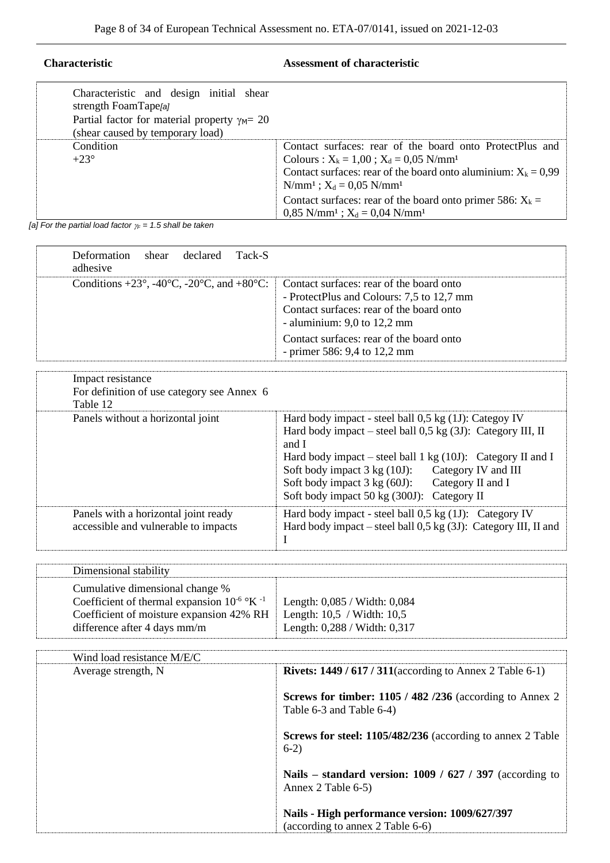**Characteristic Assessment of characteristic**

| Characteristic and design initial shear<br>strength FoamTape[a]<br>Partial factor for material property $\gamma_{M} = 20$<br>(shear caused by temporary load) |                                                                                                                                                                                                                                                                                         |
|---------------------------------------------------------------------------------------------------------------------------------------------------------------|-----------------------------------------------------------------------------------------------------------------------------------------------------------------------------------------------------------------------------------------------------------------------------------------|
| Condition<br>$+23^\circ$                                                                                                                                      | Contact surfaces: rear of the board onto ProtectPlus and<br>Colours : $X_k = 1,00$ ; $X_d = 0,05$ N/mm <sup>1</sup><br>Contact surfaces: rear of the board onto aluminium: $X_k = 0.99$<br>$N/mm1$ ; $X_d = 0.05 N/mm1$<br>Contact surfaces: rear of the board onto primer 586: $X_k =$ |
|                                                                                                                                                               | $0,85$ N/mm <sup>1</sup> ; $X_d = 0,04$ N/mm <sup>1</sup>                                                                                                                                                                                                                               |

*[a] For the partial load factor*  $\gamma_F$  = 1.5 shall be taken

| Deformation shear<br>declared<br>Tack-S<br>adhesive                               |                                                                                                                                                                                                                                                    |
|-----------------------------------------------------------------------------------|----------------------------------------------------------------------------------------------------------------------------------------------------------------------------------------------------------------------------------------------------|
| Conditions $+23^{\circ}$ , $-40^{\circ}$ C, $-20^{\circ}$ C, and $+80^{\circ}$ C: | Contact surfaces: rear of the board onto<br>- ProtectPlus and Colours: 7,5 to 12,7 mm<br>Contact surfaces: rear of the board onto<br>- aluminium: $9.0$ to $12.2$ mm<br>Contact surfaces: rear of the board onto<br>- primer 586: $9,4$ to 12,2 mm |

| Impact resistance<br>For definition of use category see Annex 6<br>Table 12  |                                                                                                                                                                                                                                                                                                                                                                                              |
|------------------------------------------------------------------------------|----------------------------------------------------------------------------------------------------------------------------------------------------------------------------------------------------------------------------------------------------------------------------------------------------------------------------------------------------------------------------------------------|
| Panels without a horizontal joint                                            | Hard body impact - steel ball 0,5 kg (1J): Categoy IV<br>Hard body impact – steel ball 0,5 kg (3J): Category III, II<br>and I<br>Hard body impact – steel ball 1 kg (10J): Category II and I<br>Category IV and III<br>Soft body impact $3 \text{ kg} (10 \text{J})$ :<br>Soft body impact $3 \text{ kg} (60 \text{J})$ :<br>Category II and I<br>Soft body impact 50 kg (300J): Category II |
| Panels with a horizontal joint ready<br>accessible and vulnerable to impacts | Hard body impact - steel ball 0,5 kg (1J): Category IV<br>Hard body impact – steel ball $0.5 \text{ kg} (3)$ : Category III, II and                                                                                                                                                                                                                                                          |

| Dimensional stability                                       |                                  |
|-------------------------------------------------------------|----------------------------------|
| Cumulative dimensional change %                             |                                  |
| Coefficient of thermal expansion $10^{-6}$ °K <sup>-1</sup> | Length: $0,085 /$ Width: $0,084$ |
| Coefficient of moisture expansion 42% RH                    | Length: $10,5$ / Width: $10,5$   |
| difference after 4 days mm/m                                | Length: 0,288 / Width: 0,317     |

| Wind load resistance M/E/C |                                                                                        |
|----------------------------|----------------------------------------------------------------------------------------|
| Average strength, N        | <b>Rivets: 1449 / 617 / 311</b> (according to Annex 2 Table 6-1)                       |
|                            | Screws for timber: 1105 / 482 / 236 (according to Annex 2)<br>Table 6-3 and Table 6-4) |
|                            | Screws for steel: 1105/482/236 (according to annex 2 Table<br>$6-2)$                   |
|                            | Nails – standard version: $1009 / 627 / 397$ (according to<br>Annex 2 Table 6-5)       |
|                            | Nails - High performance version: 1009/627/397<br>(according to annex 2 Table 6-6)     |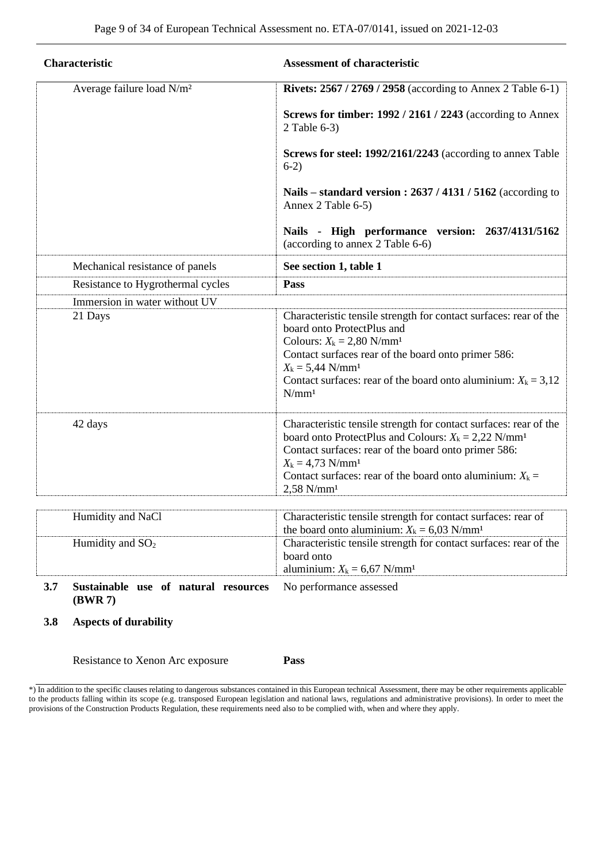| Characteristic                        | <b>Assessment of characteristic</b>                                                                                                                                                                                                                                                                                          |
|---------------------------------------|------------------------------------------------------------------------------------------------------------------------------------------------------------------------------------------------------------------------------------------------------------------------------------------------------------------------------|
| Average failure load N/m <sup>2</sup> | <b>Rivets: 2567 / 2769 / 2958</b> (according to Annex 2 Table 6-1)                                                                                                                                                                                                                                                           |
|                                       | Screws for timber: 1992 / 2161 / 2243 (according to Annex<br>2 Table 6-3)                                                                                                                                                                                                                                                    |
|                                       | Screws for steel: 1992/2161/2243 (according to annex Table<br>$6-2)$                                                                                                                                                                                                                                                         |
|                                       | Nails – standard version: 2637 / 4131 / 5162 (according to<br>Annex 2 Table 6-5)                                                                                                                                                                                                                                             |
|                                       | Nails - High performance version: 2637/4131/5162<br>(according to annex 2 Table 6-6)                                                                                                                                                                                                                                         |
| Mechanical resistance of panels       | See section 1, table 1                                                                                                                                                                                                                                                                                                       |
| Resistance to Hygrothermal cycles     | Pass                                                                                                                                                                                                                                                                                                                         |
| Immersion in water without UV         |                                                                                                                                                                                                                                                                                                                              |
| 21 Days                               | Characteristic tensile strength for contact surfaces: rear of the<br>board onto ProtectPlus and<br>Colours: $X_k = 2,80$ N/mm <sup>1</sup><br>Contact surfaces rear of the board onto primer 586:<br>$X_k = 5,44$ N/mm <sup>1</sup><br>Contact surfaces: rear of the board onto aluminium: $X_k = 3,12$<br>N/mm <sup>1</sup> |
| 42 days                               | Characteristic tensile strength for contact surfaces: rear of the<br>board onto ProtectPlus and Colours: $X_k = 2,22$ N/mm <sup>1</sup><br>Contact surfaces: rear of the board onto primer 586:<br>$X_k = 4,73$ N/mm <sup>1</sup><br>Contact surfaces: rear of the board onto aluminium: $X_k =$<br>$2,58$ N/mm <sup>1</sup> |
|                                       |                                                                                                                                                                                                                                                                                                                              |
| Humidity and NaCl                     | Characteristic tensile strength for contact surfaces: rear of<br>the board onto aluminium: $X_k = 6.03$ N/mm <sup>1</sup>                                                                                                                                                                                                    |
| Humidity and SO <sub>2</sub>          | Characteristic tensile strength for contact surfaces: rear of the<br>board onto<br>aluminium: $X_k = 6.67$ N/mm <sup>1</sup>                                                                                                                                                                                                 |

**3.7 Sustainable use of natural resources (BWR 7)** No performance assessed

#### **3.8 Aspects of durability**

Resistance to Xenon Arc exposure **Pass**

\*) In addition to the specific clauses relating to dangerous substances contained in this European technical Assessment, there may be other requirements applicable to the products falling within its scope (e.g. transposed European legislation and national laws, regulations and administrative provisions). In order to meet the provisions of the Construction Products Regulation, these requirements need also to be complied with, when and where they apply.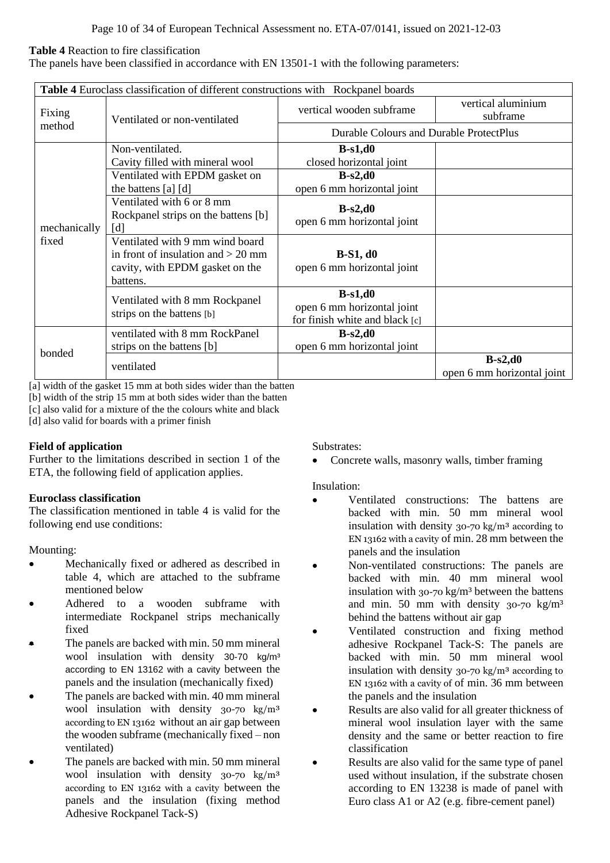# **Table 4** Reaction to fire classification

The panels have been classified in accordance with EN 13501-1 with the following parameters:

|              | Table 4 Euroclass classification of different constructions with Rockpanel boards                                      |                                                                           |                                |  |  |
|--------------|------------------------------------------------------------------------------------------------------------------------|---------------------------------------------------------------------------|--------------------------------|--|--|
| Fixing       | Ventilated or non-ventilated                                                                                           | vertical wooden subframe                                                  | vertical aluminium<br>subframe |  |  |
| method       |                                                                                                                        | Durable Colours and Durable ProtectPlus                                   |                                |  |  |
|              | Non-ventilated.                                                                                                        | $B-s1,d0$                                                                 |                                |  |  |
|              | Cavity filled with mineral wool                                                                                        | closed horizontal joint                                                   |                                |  |  |
|              | Ventilated with EPDM gasket on                                                                                         | $B-s2,d0$                                                                 |                                |  |  |
|              | the battens $[a]$ $[d]$                                                                                                | open 6 mm horizontal joint                                                |                                |  |  |
| mechanically | Ventilated with 6 or 8 mm<br>Rockpanel strips on the battens [b]<br>[d]                                                | $B-s2, d0$<br>open 6 mm horizontal joint                                  |                                |  |  |
| fixed        | Ventilated with 9 mm wind board<br>in front of insulation and $> 20$ mm<br>cavity, with EPDM gasket on the<br>battens. | $B-S1, d0$<br>open 6 mm horizontal joint                                  |                                |  |  |
|              | Ventilated with 8 mm Rockpanel<br>strips on the battens [b]                                                            | $B-s1,d0$<br>open 6 mm horizontal joint<br>for finish white and black [c] |                                |  |  |
|              | ventilated with 8 mm RockPanel                                                                                         | $B-s2,d0$                                                                 |                                |  |  |
| bonded       | strips on the battens [b]                                                                                              | open 6 mm horizontal joint                                                |                                |  |  |
|              | ventilated                                                                                                             |                                                                           | $B-s2, d0$                     |  |  |
|              |                                                                                                                        |                                                                           | open 6 mm horizontal joint     |  |  |

[a] width of the gasket 15 mm at both sides wider than the batten

[b] width of the strip 15 mm at both sides wider than the batten

[c] also valid for a mixture of the the colours white and black

[d] also valid for boards with a primer finish

# **Field of application**

Further to the limitations described in section 1 of the ETA, the following field of application applies.

# **Euroclass classification**

The classification mentioned in table 4 is valid for the following end use conditions:

Mounting:

- Mechanically fixed or adhered as described in table 4, which are attached to the subframe mentioned below
- Adhered to a wooden subframe with intermediate Rockpanel strips mechanically fixed
- The panels are backed with min. 50 mm mineral wool insulation with density 30-70 kg/m<sup>3</sup> according to EN 13162 with a cavity between the panels and the insulation (mechanically fixed)
- The panels are backed with min. 40 mm mineral wool insulation with density 30-70 kg/m<sup>3</sup> according to EN 13162 without an air gap between the wooden subframe (mechanically fixed – non ventilated)
- The panels are backed with min. 50 mm mineral wool insulation with density 30-70 kg/m³ according to EN 13162 with a cavity between the panels and the insulation (fixing method Adhesive Rockpanel Tack-S)

Substrates:

• Concrete walls, masonry walls, timber framing

Insulation:

- Ventilated constructions: The battens are backed with min. 50 mm mineral wool insulation with density 30-70 kg/m<sup>3</sup> according to EN 13162 with a cavity of min. 28 mm between the panels and the insulation
- Non-ventilated constructions: The panels are backed with min. 40 mm mineral wool insulation with  $30$ -70 kg/m<sup>3</sup> between the battens and min. 50 mm with density  $30$ -70 kg/m<sup>3</sup> behind the battens without air gap
- Ventilated construction and fixing method adhesive Rockpanel Tack-S: The panels are backed with min. 50 mm mineral wool insulation with density  $30$ -70 kg/m<sup>3</sup> according to EN 13162 with a cavity of of min. 36 mm between the panels and the insulation
- Results are also valid for all greater thickness of mineral wool insulation layer with the same density and the same or better reaction to fire classification
- Results are also valid for the same type of panel used without insulation, if the substrate chosen according to EN 13238 is made of panel with Euro class A1 or A2 (e.g. fibre-cement panel)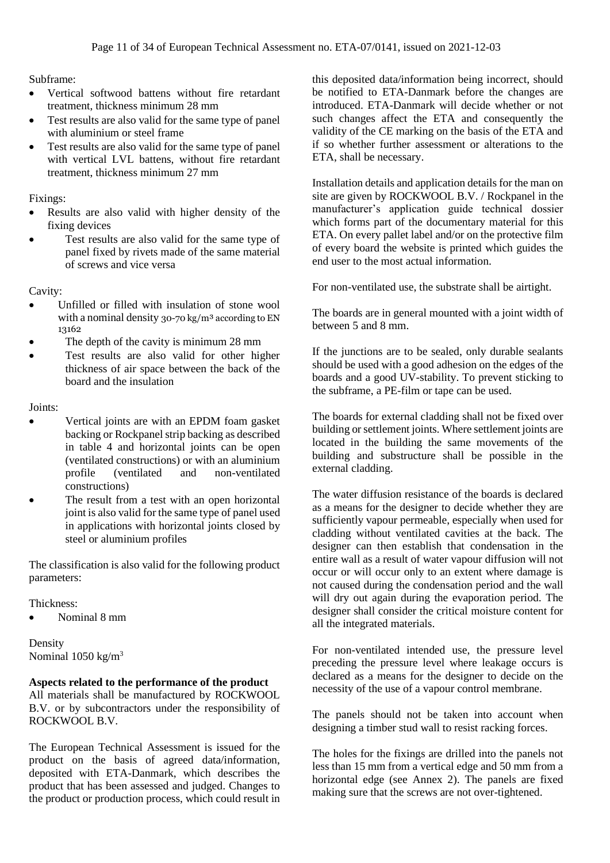# Subframe:

- Vertical softwood battens without fire retardant treatment, thickness minimum 28 mm
- Test results are also valid for the same type of panel with aluminium or steel frame
- Test results are also valid for the same type of panel with vertical LVL battens, without fire retardant treatment, thickness minimum 27 mm

# Fixings:

- Results are also valid with higher density of the fixing devices
- Test results are also valid for the same type of panel fixed by rivets made of the same material of screws and vice versa

Cavity:

- Unfilled or filled with insulation of stone wool with a nominal density  $30-70$  kg/m<sup>3</sup> according to EN 13162
- The depth of the cavity is minimum 28 mm
- Test results are also valid for other higher thickness of air space between the back of the board and the insulation

# Joints:

- Vertical joints are with an EPDM foam gasket backing or Rockpanel strip backing as described in table 4 and horizontal joints can be open (ventilated constructions) or with an aluminium profile (ventilated and non-ventilated constructions)
- The result from a test with an open horizontal joint is also valid for the same type of panel used in applications with horizontal joints closed by steel or aluminium profiles

The classification is also valid for the following product parameters:

Thickness:

• Nominal 8 mm

Density Nominal 1050 kg/m<sup>3</sup>

# **Aspects related to the performance of the product**

All materials shall be manufactured by ROCKWOOL B.V. or by subcontractors under the responsibility of ROCKWOOL B.V.

The European Technical Assessment is issued for the product on the basis of agreed data/information, deposited with ETA-Danmark, which describes the product that has been assessed and judged. Changes to the product or production process, which could result in

this deposited data/information being incorrect, should be notified to ETA-Danmark before the changes are introduced. ETA-Danmark will decide whether or not such changes affect the ETA and consequently the validity of the CE marking on the basis of the ETA and if so whether further assessment or alterations to the ETA, shall be necessary.

Installation details and application details for the man on site are given by ROCKWOOL B.V. / Rockpanel in the manufacturer's application guide technical dossier which forms part of the documentary material for this ETA. On every pallet label and/or on the protective film of every board the website is printed which guides the end user to the most actual information.

For non-ventilated use, the substrate shall be airtight.

The boards are in general mounted with a joint width of between 5 and 8 mm.

If the junctions are to be sealed, only durable sealants should be used with a good adhesion on the edges of the boards and a good UV-stability. To prevent sticking to the subframe, a PE-film or tape can be used.

The boards for external cladding shall not be fixed over building or settlement joints. Where settlement joints are located in the building the same movements of the building and substructure shall be possible in the external cladding.

The water diffusion resistance of the boards is declared as a means for the designer to decide whether they are sufficiently vapour permeable, especially when used for cladding without ventilated cavities at the back. The designer can then establish that condensation in the entire wall as a result of water vapour diffusion will not occur or will occur only to an extent where damage is not caused during the condensation period and the wall will dry out again during the evaporation period. The designer shall consider the critical moisture content for all the integrated materials.

For non-ventilated intended use, the pressure level preceding the pressure level where leakage occurs is declared as a means for the designer to decide on the necessity of the use of a vapour control membrane.

The panels should not be taken into account when designing a timber stud wall to resist racking forces.

The holes for the fixings are drilled into the panels not less than 15 mm from a vertical edge and 50 mm from a horizontal edge (see Annex 2). The panels are fixed making sure that the screws are not over-tightened.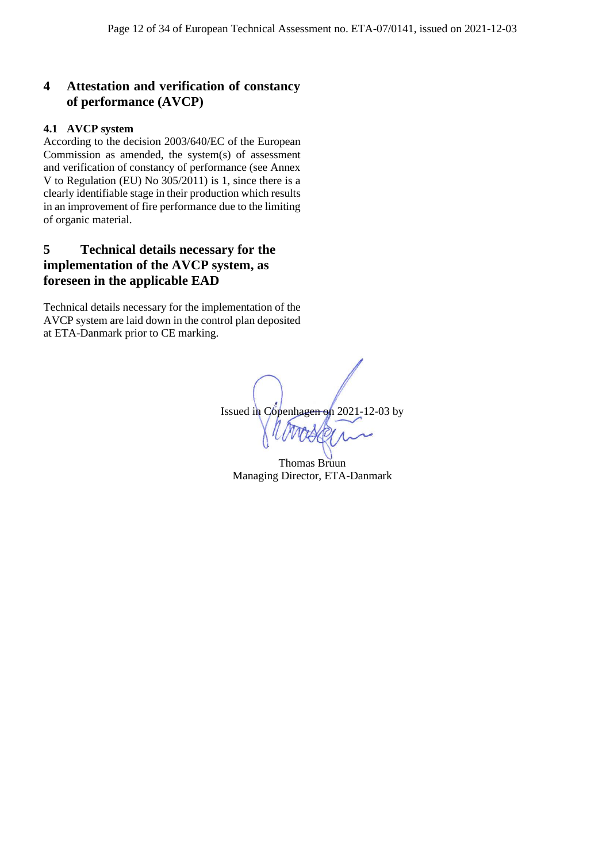# **4 Attestation and verification of constancy of performance (AVCP)**

# **4.1 AVCP system**

According to the decision 2003/640/EC of the European Commission as amended, the system(s) of assessment and verification of constancy of performance (see Annex V to Regulation (EU) No 305/2011) is 1, since there is a clearly identifiable stage in their production which results in an improvement of fire performance due to the limiting of organic material.

# **5 Technical details necessary for the implementation of the AVCP system, as foreseen in the applicable EAD**

Technical details necessary for the implementation of the AVCP system are laid down in the control plan deposited at ETA-Danmark prior to CE marking.

Issued in Copenhagen on 2021-12-03 by

Thomas Bruun Managing Director, ETA-Danmark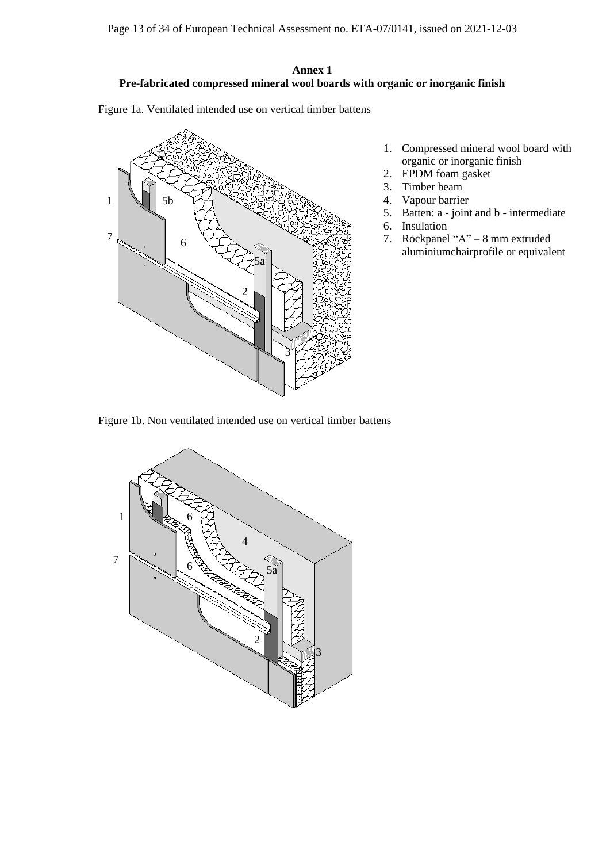## **Annex 1 Pre-fabricated compressed mineral wool boards with organic or inorganic finish**

Figure 1a. Ventilated intended use on vertical timber battens



- 1. Compressed mineral wool board with organic or inorganic finish
- 2. EPDM foam gasket
- 3. Timber beam
- 4. Vapour barrier
- 5. Batten: a joint and b intermediate
- 6. Insulation
- 7. Rockpanel "A" 8 mm extruded aluminiumchairprofile or equivalent

Figure 1b. Non ventilated intended use on vertical timber battens

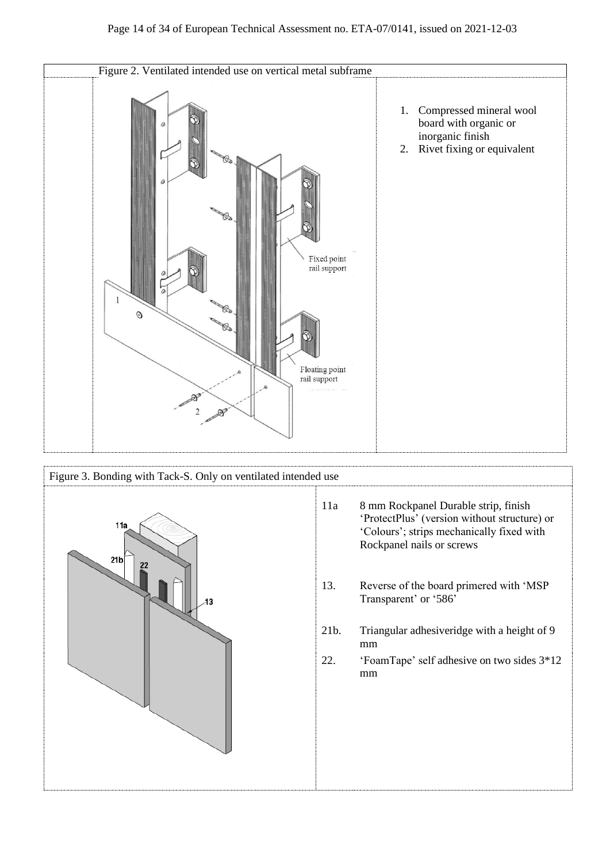

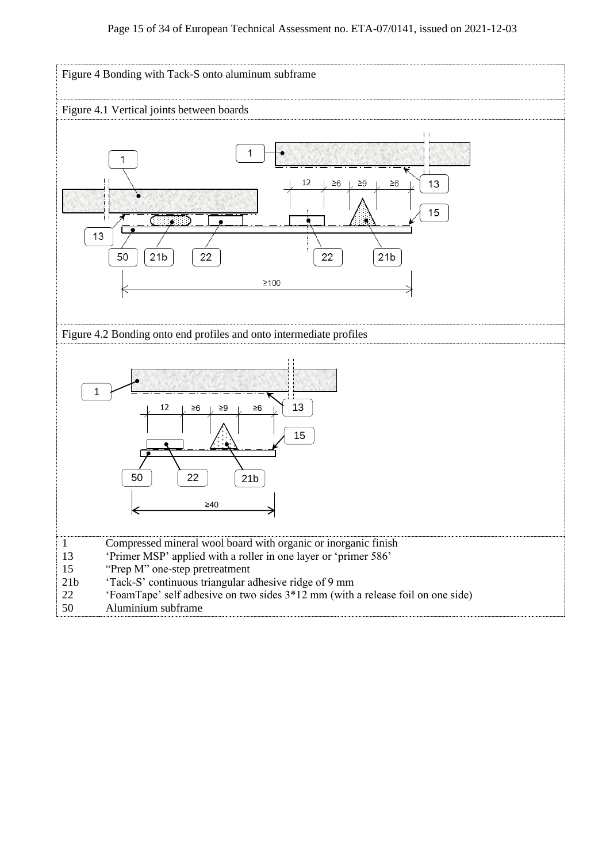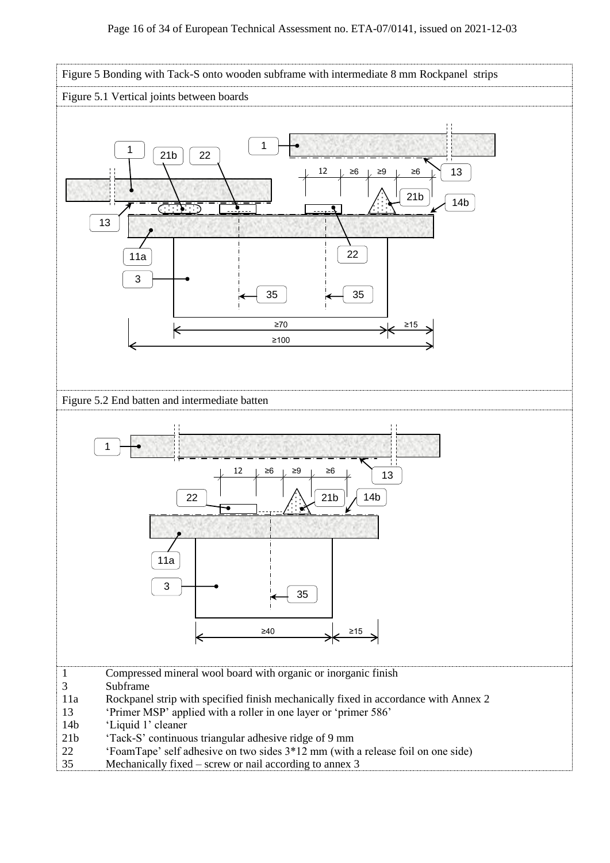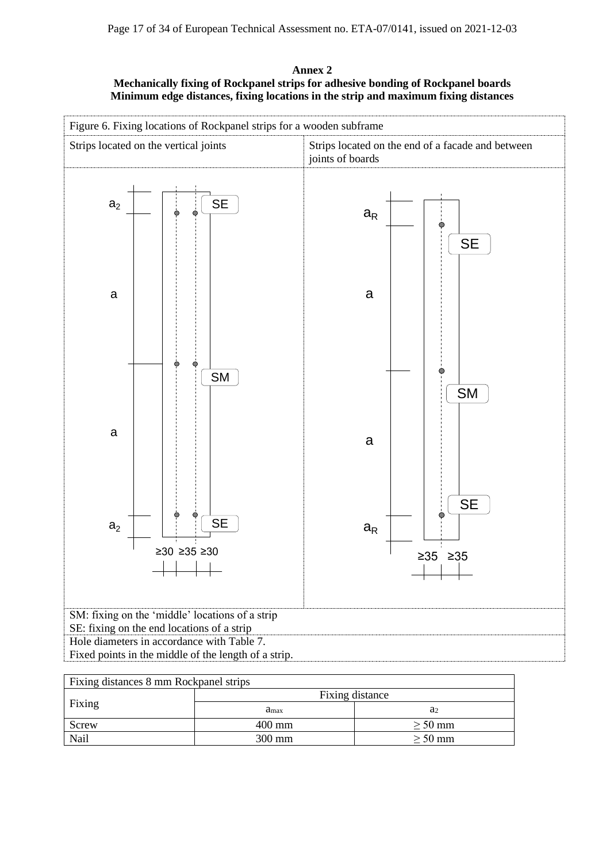**Annex 2 Mechanically fixing of Rockpanel strips for adhesive bonding of Rockpanel boards Minimum edge distances, fixing locations in the strip and maximum fixing distances**



| Fixing distances 8 mm Rockpanel strips |                  |              |
|----------------------------------------|------------------|--------------|
|                                        | Fixing distance  |              |
| Fixing                                 | $a_{\text{max}}$ | ä٥           |
| Screw                                  | $400 \text{ mm}$ | $> 50$ mm    |
| Nail                                   | $300 \text{ mm}$ | $\geq 50$ mm |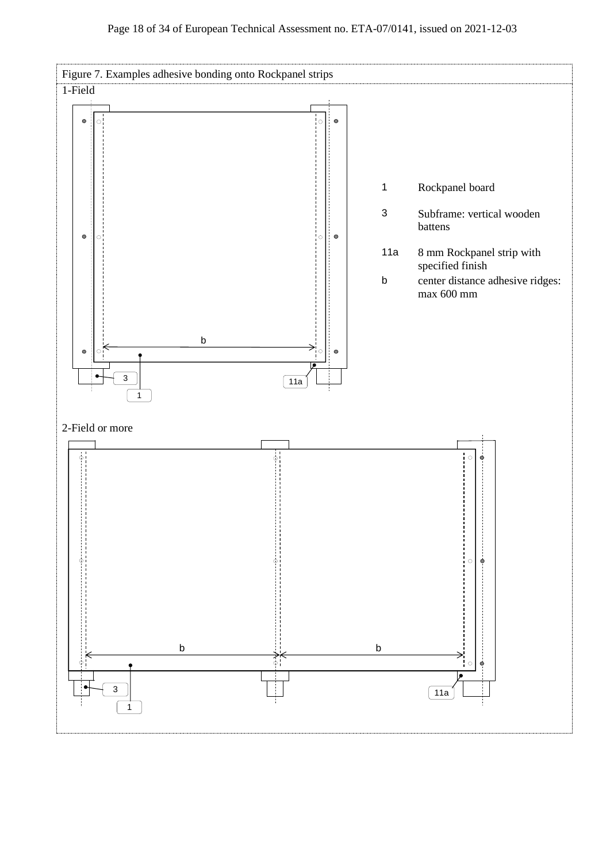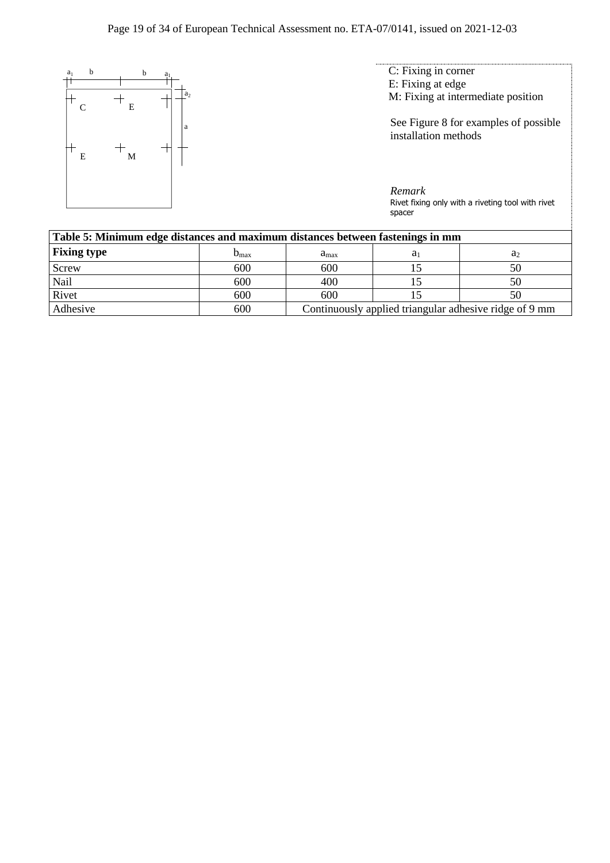

C: Fixing in corner E: Fixing at edge M: Fixing at intermediate position

See Figure 8 for examples of possible installation methods

*Remark* Rivet fixing only with a riveting tool with rivet spacer

|                    | Table 5: Minimum edge distances and maximum distances between fastenings in mm |                  |                |                                                        |  |
|--------------------|--------------------------------------------------------------------------------|------------------|----------------|--------------------------------------------------------|--|
| <b>Fixing type</b> | $D_{\text{max}}$                                                               | a <sub>max</sub> | a <sub>1</sub> | a <sub>2</sub>                                         |  |
| Screw              | 600                                                                            | 600              |                | 50                                                     |  |
| Nail               | 600                                                                            | 400              |                | 50                                                     |  |
| Rivet              | 600                                                                            | 600              |                | 50                                                     |  |
| Adhesive           | 600                                                                            |                  |                | Continuously applied triangular adhesive ridge of 9 mm |  |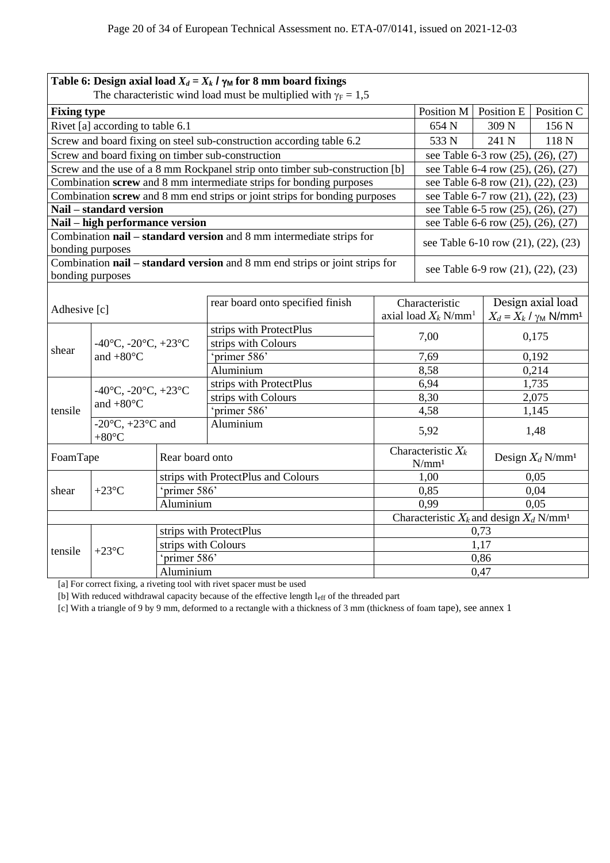|                                                                                                                                                                                                                                                                                                                                                                                                                                                                                                                                                                                                                                                                                                                                                                                                                                                                                                                                                                       |  |              |  |       |                                                                           | Position M   Position E   Position C |                                                                                                                                                                                                                                                                                                                                                                                                                                              |  |
|-----------------------------------------------------------------------------------------------------------------------------------------------------------------------------------------------------------------------------------------------------------------------------------------------------------------------------------------------------------------------------------------------------------------------------------------------------------------------------------------------------------------------------------------------------------------------------------------------------------------------------------------------------------------------------------------------------------------------------------------------------------------------------------------------------------------------------------------------------------------------------------------------------------------------------------------------------------------------|--|--------------|--|-------|---------------------------------------------------------------------------|--------------------------------------|----------------------------------------------------------------------------------------------------------------------------------------------------------------------------------------------------------------------------------------------------------------------------------------------------------------------------------------------------------------------------------------------------------------------------------------------|--|
|                                                                                                                                                                                                                                                                                                                                                                                                                                                                                                                                                                                                                                                                                                                                                                                                                                                                                                                                                                       |  |              |  | 654 N | 309 N                                                                     | 156 N                                |                                                                                                                                                                                                                                                                                                                                                                                                                                              |  |
|                                                                                                                                                                                                                                                                                                                                                                                                                                                                                                                                                                                                                                                                                                                                                                                                                                                                                                                                                                       |  |              |  |       | 533 N                                                                     | 241 N                                | 118N                                                                                                                                                                                                                                                                                                                                                                                                                                         |  |
|                                                                                                                                                                                                                                                                                                                                                                                                                                                                                                                                                                                                                                                                                                                                                                                                                                                                                                                                                                       |  |              |  |       |                                                                           | see Table 6-3 row (25), (26), (27)   |                                                                                                                                                                                                                                                                                                                                                                                                                                              |  |
|                                                                                                                                                                                                                                                                                                                                                                                                                                                                                                                                                                                                                                                                                                                                                                                                                                                                                                                                                                       |  |              |  |       |                                                                           | see Table 6-4 row (25), (26), (27)   |                                                                                                                                                                                                                                                                                                                                                                                                                                              |  |
|                                                                                                                                                                                                                                                                                                                                                                                                                                                                                                                                                                                                                                                                                                                                                                                                                                                                                                                                                                       |  |              |  |       |                                                                           |                                      |                                                                                                                                                                                                                                                                                                                                                                                                                                              |  |
|                                                                                                                                                                                                                                                                                                                                                                                                                                                                                                                                                                                                                                                                                                                                                                                                                                                                                                                                                                       |  |              |  |       |                                                                           |                                      |                                                                                                                                                                                                                                                                                                                                                                                                                                              |  |
| Combination screw and 8 mm end strips or joint strips for bonding purposes<br>Nail - standard version<br>Nail – high performance version<br>Combination nail - standard version and 8 mm intermediate strips for<br>bonding purposes<br>Combination nail – standard version and 8 mm end strips or joint strips for<br>bonding purposes<br>rear board onto specified finish<br>Adhesive [c]                                                                                                                                                                                                                                                                                                                                                                                                                                                                                                                                                                           |  |              |  |       |                                                                           |                                      |                                                                                                                                                                                                                                                                                                                                                                                                                                              |  |
| strips with ProtectPlus<br>-40°C, -20°C, +23°C<br>strips with Colours<br>shear<br>and $+80^{\circ}$ C<br>'primer 586'                                                                                                                                                                                                                                                                                                                                                                                                                                                                                                                                                                                                                                                                                                                                                                                                                                                 |  |              |  |       |                                                                           |                                      |                                                                                                                                                                                                                                                                                                                                                                                                                                              |  |
| Table 6: Design axial load $X_d = X_k / \gamma_M$ for 8 mm board fixings<br>The characteristic wind load must be multiplied with $\gamma_F = 1.5$<br><b>Fixing type</b><br>Rivet [a] according to table 6.1<br>Screw and board fixing on steel sub-construction according table 6.2<br>Screw and board fixing on timber sub-construction<br>Screw and the use of a 8 mm Rockpanel strip onto timber sub-construction [b]<br>Combination screw and 8 mm intermediate strips for bonding purposes<br>Aluminium<br>strips with ProtectPlus<br>$-40^{\circ}$ C, $-20^{\circ}$ C, $+23^{\circ}$ C<br>strips with Colours<br>and $+80^{\circ}$ C<br>tensile<br>'primer 586'<br>-20 $\rm{^{\circ}C}$ , +23 $\rm{^{\circ}C}$ and<br>Aluminium<br>$+80^{\circ}$ C<br>FoamTape<br>Rear board onto<br>strips with ProtectPlus and Colours<br>$+23^{\circ}C$<br>'primer 586'<br>shear<br>Aluminium<br>strips with ProtectPlus<br>strips with Colours<br>$+23^{\circ}C$<br>tensile |  |              |  |       |                                                                           |                                      |                                                                                                                                                                                                                                                                                                                                                                                                                                              |  |
|                                                                                                                                                                                                                                                                                                                                                                                                                                                                                                                                                                                                                                                                                                                                                                                                                                                                                                                                                                       |  |              |  |       |                                                                           |                                      |                                                                                                                                                                                                                                                                                                                                                                                                                                              |  |
|                                                                                                                                                                                                                                                                                                                                                                                                                                                                                                                                                                                                                                                                                                                                                                                                                                                                                                                                                                       |  |              |  |       |                                                                           |                                      |                                                                                                                                                                                                                                                                                                                                                                                                                                              |  |
|                                                                                                                                                                                                                                                                                                                                                                                                                                                                                                                                                                                                                                                                                                                                                                                                                                                                                                                                                                       |  |              |  |       | Design axial load<br>Characteristic<br>axial load $X_k$ N/mm <sup>1</sup> |                                      |                                                                                                                                                                                                                                                                                                                                                                                                                                              |  |
|                                                                                                                                                                                                                                                                                                                                                                                                                                                                                                                                                                                                                                                                                                                                                                                                                                                                                                                                                                       |  |              |  |       | 7,00                                                                      |                                      |                                                                                                                                                                                                                                                                                                                                                                                                                                              |  |
|                                                                                                                                                                                                                                                                                                                                                                                                                                                                                                                                                                                                                                                                                                                                                                                                                                                                                                                                                                       |  |              |  |       |                                                                           |                                      |                                                                                                                                                                                                                                                                                                                                                                                                                                              |  |
|                                                                                                                                                                                                                                                                                                                                                                                                                                                                                                                                                                                                                                                                                                                                                                                                                                                                                                                                                                       |  |              |  |       | 7,69                                                                      |                                      |                                                                                                                                                                                                                                                                                                                                                                                                                                              |  |
|                                                                                                                                                                                                                                                                                                                                                                                                                                                                                                                                                                                                                                                                                                                                                                                                                                                                                                                                                                       |  |              |  |       | 8,58                                                                      |                                      | 0,214                                                                                                                                                                                                                                                                                                                                                                                                                                        |  |
|                                                                                                                                                                                                                                                                                                                                                                                                                                                                                                                                                                                                                                                                                                                                                                                                                                                                                                                                                                       |  |              |  |       | 6,94                                                                      |                                      |                                                                                                                                                                                                                                                                                                                                                                                                                                              |  |
|                                                                                                                                                                                                                                                                                                                                                                                                                                                                                                                                                                                                                                                                                                                                                                                                                                                                                                                                                                       |  |              |  |       | 8,30                                                                      |                                      |                                                                                                                                                                                                                                                                                                                                                                                                                                              |  |
|                                                                                                                                                                                                                                                                                                                                                                                                                                                                                                                                                                                                                                                                                                                                                                                                                                                                                                                                                                       |  |              |  |       | 4,58                                                                      |                                      |                                                                                                                                                                                                                                                                                                                                                                                                                                              |  |
|                                                                                                                                                                                                                                                                                                                                                                                                                                                                                                                                                                                                                                                                                                                                                                                                                                                                                                                                                                       |  |              |  |       | 5,92                                                                      |                                      |                                                                                                                                                                                                                                                                                                                                                                                                                                              |  |
|                                                                                                                                                                                                                                                                                                                                                                                                                                                                                                                                                                                                                                                                                                                                                                                                                                                                                                                                                                       |  |              |  |       | Characteristic $X_k$<br>N/mm <sup>1</sup>                                 |                                      |                                                                                                                                                                                                                                                                                                                                                                                                                                              |  |
|                                                                                                                                                                                                                                                                                                                                                                                                                                                                                                                                                                                                                                                                                                                                                                                                                                                                                                                                                                       |  |              |  | 1,00  |                                                                           |                                      |                                                                                                                                                                                                                                                                                                                                                                                                                                              |  |
|                                                                                                                                                                                                                                                                                                                                                                                                                                                                                                                                                                                                                                                                                                                                                                                                                                                                                                                                                                       |  |              |  |       | 0,85                                                                      |                                      |                                                                                                                                                                                                                                                                                                                                                                                                                                              |  |
|                                                                                                                                                                                                                                                                                                                                                                                                                                                                                                                                                                                                                                                                                                                                                                                                                                                                                                                                                                       |  |              |  |       | 0.99                                                                      |                                      |                                                                                                                                                                                                                                                                                                                                                                                                                                              |  |
|                                                                                                                                                                                                                                                                                                                                                                                                                                                                                                                                                                                                                                                                                                                                                                                                                                                                                                                                                                       |  |              |  |       |                                                                           |                                      |                                                                                                                                                                                                                                                                                                                                                                                                                                              |  |
|                                                                                                                                                                                                                                                                                                                                                                                                                                                                                                                                                                                                                                                                                                                                                                                                                                                                                                                                                                       |  |              |  |       |                                                                           | 0,73                                 | see Table 6-8 row (21), (22), (23)<br>see Table 6-7 row (21), (22), (23)<br>see Table 6-5 row (25), (26), (27)<br>see Table 6-6 row (25), (26), (27)<br>see Table 6-10 row (21), (22), (23)<br>see Table 6-9 row (21), (22), (23)<br>$X_d = X_k / \gamma_M N/mm^1$<br>0,175<br>0,192<br>1,735<br>2,075<br>1,145<br>1,48<br>Design $X_d$ N/mm <sup>1</sup><br>0,05<br>0,04<br>0.05<br>Characteristic $X_k$ and design $X_d$ N/mm <sup>1</sup> |  |
|                                                                                                                                                                                                                                                                                                                                                                                                                                                                                                                                                                                                                                                                                                                                                                                                                                                                                                                                                                       |  |              |  | 1,17  |                                                                           |                                      |                                                                                                                                                                                                                                                                                                                                                                                                                                              |  |
|                                                                                                                                                                                                                                                                                                                                                                                                                                                                                                                                                                                                                                                                                                                                                                                                                                                                                                                                                                       |  | 'primer 586' |  |       |                                                                           | 0,86                                 |                                                                                                                                                                                                                                                                                                                                                                                                                                              |  |
|                                                                                                                                                                                                                                                                                                                                                                                                                                                                                                                                                                                                                                                                                                                                                                                                                                                                                                                                                                       |  | Aluminium    |  | 0,47  |                                                                           |                                      |                                                                                                                                                                                                                                                                                                                                                                                                                                              |  |

[a] For correct fixing, a riveting tool with rivet spacer must be used

[b] With reduced withdrawal capacity because of the effective length leff of the threaded part

[c] With a triangle of 9 by 9 mm, deformed to a rectangle with a thickness of 3 mm (thickness of foam tape), see annex 1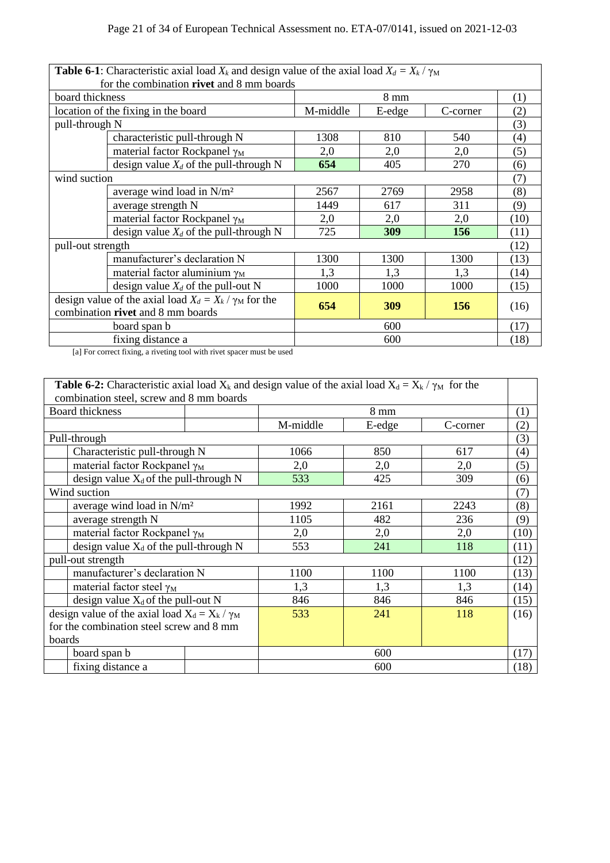|                   | <b>Table 6-1</b> : Characteristic axial load $X_k$ and design value of the axial load $X_d = X_k / \gamma_M$ |          |                |            |      |
|-------------------|--------------------------------------------------------------------------------------------------------------|----------|----------------|------------|------|
|                   | for the combination rivet and 8 mm boards                                                                    |          |                |            |      |
| board thickness   |                                                                                                              |          | $8 \text{ mm}$ |            | (1)  |
|                   | location of the fixing in the board                                                                          | M-middle | E-edge         | C-corner   | (2)  |
| pull-through N    |                                                                                                              |          |                |            | (3)  |
|                   | characteristic pull-through N                                                                                | 1308     | 810            | 540        | (4)  |
|                   | material factor Rockpanel $\gamma_M$                                                                         | 2,0      | 2,0            | 2,0        | (5)  |
|                   | design value $X_d$ of the pull-through N                                                                     | 654      | 405            | 270        | (6)  |
| wind suction      |                                                                                                              |          |                |            | (7)  |
|                   | average wind load in N/m <sup>2</sup>                                                                        | 2567     | 2769           | 2958       | (8)  |
|                   | average strength N                                                                                           | 1449     | 617            | 311        | (9)  |
|                   | material factor Rockpanel γ <sub>M</sub>                                                                     | 2,0      | 2,0            | 2,0        | (10) |
|                   | design value $X_d$ of the pull-through N                                                                     | 725      | <b>309</b>     | 156        | (11) |
| pull-out strength |                                                                                                              |          |                |            | (12) |
|                   | manufacturer's declaration N                                                                                 | 1300     | 1300           | 1300       | (13) |
|                   | material factor aluminium $\gamma_M$                                                                         | 1,3      | 1,3            | 1,3        | (14) |
|                   | design value $X_d$ of the pull-out N                                                                         | 1000     | 1000           | 1000       | (15) |
|                   | design value of the axial load $X_d = X_k / \gamma_M$ for the                                                | 654      | 309            | <b>156</b> | (16) |
|                   | combination rivet and 8 mm boards                                                                            |          |                |            |      |
|                   | board span b                                                                                                 |          | 600            |            | (17) |
|                   | fixing distance a                                                                                            |          | 600            |            | (18) |

[a] For correct fixing, a riveting tool with rivet spacer must be used

|        | <b>Table 6-2:</b> Characteristic axial load $X_k$ and design value of the axial load $X_d = X_k / \gamma_M$ for the |          |                |          |                   |
|--------|---------------------------------------------------------------------------------------------------------------------|----------|----------------|----------|-------------------|
|        | combination steel, screw and 8 mm boards                                                                            |          |                |          |                   |
|        | Board thickness                                                                                                     |          | $8 \text{ mm}$ |          | (1)               |
|        |                                                                                                                     | M-middle | E-edge         | C-corner | $\left( 2\right)$ |
|        | Pull-through                                                                                                        |          |                |          | (3)               |
|        | Characteristic pull-through N                                                                                       | 1066     | 850            | 617      | $\left( 4\right)$ |
|        | material factor Rockpanel $\gamma_M$                                                                                | 2,0      | 2,0            | 2,0      | (5)               |
|        | design value $X_d$ of the pull-through N                                                                            | 533      | 425            | 309      | (6)               |
|        | Wind suction                                                                                                        |          |                |          | (7)               |
|        | average wind load in $N/m^2$                                                                                        | 1992     | 2161           | 2243     | (8)               |
|        | average strength N                                                                                                  | 1105     | 482            | 236      | (9)               |
|        | material factor Rockpanel YM                                                                                        | 2,0      | 2,0            | 2,0      | (10)              |
|        | design value $X_d$ of the pull-through N                                                                            | 553      | 241            | 118      | (11)              |
|        | pull-out strength                                                                                                   |          |                |          | (12)              |
|        | manufacturer's declaration N                                                                                        | 1100     | 1100           | 1100     | (13)              |
|        | material factor steel $\gamma_M$                                                                                    | 1,3      | 1,3            | 1,3      | (14)              |
|        | design value $X_d$ of the pull-out N                                                                                | 846      | 846            | 846      | (15)              |
|        | design value of the axial load $X_d = X_k / \gamma_M$                                                               | 533      | 241            | 118      | (16)              |
|        | for the combination steel screw and 8 mm                                                                            |          |                |          |                   |
| boards |                                                                                                                     |          |                |          |                   |
|        | board span b                                                                                                        |          | 600            |          | (17)              |
|        | fixing distance a                                                                                                   |          | 600            |          | (18)              |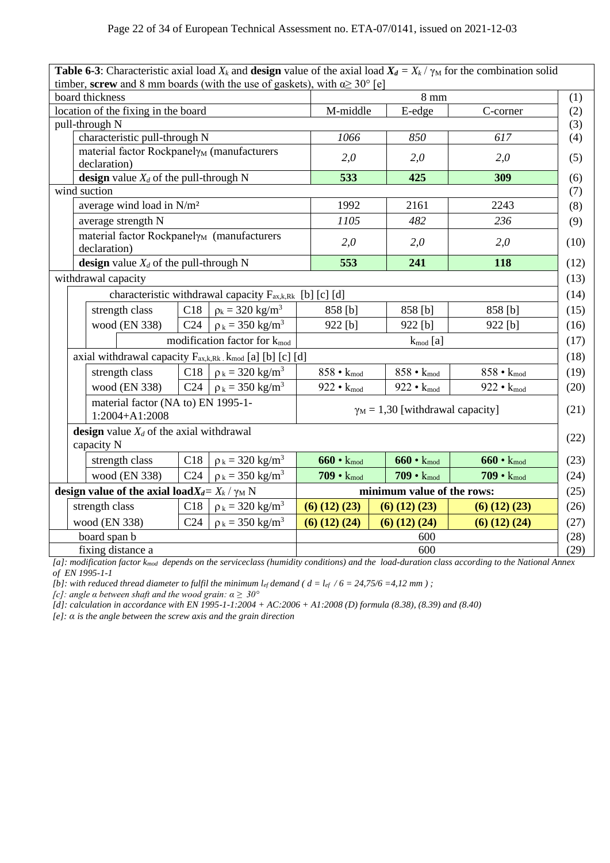|                          |                                                                                                                                        |                                                         |                 |                                                                                            |                     |                |                                         | <b>Table 6-3:</b> Characteristic axial load $X_k$ and <b>design</b> value of the axial load $X_d = X_k / \gamma_M$ for the combination solid |      |
|--------------------------|----------------------------------------------------------------------------------------------------------------------------------------|---------------------------------------------------------|-----------------|--------------------------------------------------------------------------------------------|---------------------|----------------|-----------------------------------------|----------------------------------------------------------------------------------------------------------------------------------------------|------|
|                          |                                                                                                                                        |                                                         |                 | timber, screw and 8 mm boards (with the use of gaskets), with $\alpha \geq 30^{\circ}$ [e] |                     |                |                                         |                                                                                                                                              |      |
|                          | board thickness                                                                                                                        |                                                         |                 |                                                                                            |                     | $8 \text{ mm}$ |                                         |                                                                                                                                              | (1)  |
|                          |                                                                                                                                        | location of the fixing in the board                     |                 |                                                                                            | M-middle            |                | E-edge                                  | C-corner                                                                                                                                     | (2)  |
|                          | pull-through N                                                                                                                         | characteristic pull-through N                           |                 |                                                                                            | 1066                |                | 850                                     | 617                                                                                                                                          | (3)  |
|                          |                                                                                                                                        |                                                         |                 | material factor Rockpanel $\gamma_M$ (manufacturers                                        |                     |                |                                         |                                                                                                                                              | (4)  |
|                          | declaration)                                                                                                                           |                                                         |                 |                                                                                            | 2,0                 |                | 2,0                                     | 2,0                                                                                                                                          | (5)  |
|                          |                                                                                                                                        | design value $X_d$ of the pull-through N                |                 |                                                                                            | 533                 |                | 425                                     | 309                                                                                                                                          | (6)  |
|                          | wind suction                                                                                                                           |                                                         |                 |                                                                                            |                     |                |                                         |                                                                                                                                              | (7)  |
|                          |                                                                                                                                        | average wind load in N/m <sup>2</sup>                   |                 |                                                                                            | 1992                |                | 2161                                    | 2243                                                                                                                                         | (8)  |
|                          |                                                                                                                                        | average strength N                                      |                 |                                                                                            | 1105                |                | 482                                     | 236                                                                                                                                          | (9)  |
|                          |                                                                                                                                        |                                                         |                 | $\overline{\text{material}}$ factor Rockpanely <sub>M</sub> (manufacturers                 | 2,0                 |                | 2,0                                     | 2,0                                                                                                                                          | (10) |
|                          | declaration)                                                                                                                           |                                                         |                 |                                                                                            |                     |                |                                         |                                                                                                                                              |      |
|                          |                                                                                                                                        | <b>design</b> value $X_d$ of the pull-through N         |                 |                                                                                            | 553                 |                | 241                                     | 118                                                                                                                                          | (12) |
|                          | withdrawal capacity                                                                                                                    |                                                         |                 |                                                                                            |                     |                |                                         |                                                                                                                                              | (13) |
|                          |                                                                                                                                        |                                                         |                 | characteristic withdrawal capacity $F_{ax,k, Rk}$ [b] [c] [d]                              |                     |                |                                         |                                                                                                                                              | (14) |
|                          |                                                                                                                                        | strength class                                          | C18             | $\rho_k = 320 \text{ kg/m}^3$                                                              | 858 [b]             |                | 858 [b]                                 | 858 [b]                                                                                                                                      | (15) |
|                          |                                                                                                                                        | wood (EN 338)                                           | C <sub>24</sub> | $\rho_k = 350 \text{ kg/m}^3$                                                              | 922 [b]             |                | 922 [b]                                 | 922 [b]                                                                                                                                      | (16) |
|                          |                                                                                                                                        |                                                         |                 | modification factor for k <sub>mod</sub>                                                   |                     |                | $k_{mod}$ [a]                           |                                                                                                                                              | (17) |
|                          |                                                                                                                                        |                                                         |                 | axial withdrawal capacity $F_{ax,k,Rk}$ . $k_{mod}$ [a] [b] [c] [d]                        |                     |                |                                         |                                                                                                                                              | (18) |
|                          |                                                                                                                                        | strength class                                          | C18             | $\rho_k = 320 \text{ kg/m}^3$                                                              | 858 • $k_{mod}$     |                | $858 \cdot k_{mod}$                     | 858 • $k_{mod}$                                                                                                                              | (19) |
|                          |                                                                                                                                        | wood (EN 338)                                           | C <sub>24</sub> | $\rho_k = 350 \text{ kg/m}^3$                                                              | 922 • $k_{mod}$     |                | 922 • $k_{mod}$                         | 922 • $k_{mod}$                                                                                                                              | (20) |
|                          |                                                                                                                                        | material factor (NA to) EN 1995-1-                      |                 |                                                                                            |                     |                |                                         |                                                                                                                                              |      |
|                          |                                                                                                                                        | 1:2004+A1:2008                                          |                 |                                                                                            |                     |                | $\gamma_M = 1,30$ [withdrawal capacity] |                                                                                                                                              | (21) |
|                          |                                                                                                                                        | design value $X_d$ of the axial withdrawal              |                 |                                                                                            |                     |                |                                         |                                                                                                                                              |      |
|                          | capacity N                                                                                                                             |                                                         |                 |                                                                                            |                     |                |                                         |                                                                                                                                              | (22) |
|                          |                                                                                                                                        | strength class                                          | C18             | $\rho_k = 320 \text{ kg/m}^3$                                                              | $660 \cdot k_{mod}$ |                | $660 \cdot k_{mod}$                     | $660 \cdot k_{mod}$                                                                                                                          | (23) |
|                          |                                                                                                                                        | wood (EN 338)                                           | C <sub>24</sub> | $\rho_k = 350 \text{ kg/m}^3$                                                              | $709 \cdot k_{mod}$ |                | $709 \cdot k_{mod}$                     | $709 \cdot k_{mod}$                                                                                                                          | (24) |
|                          |                                                                                                                                        | design value of the axial load $X_d = X_k / \gamma_M N$ |                 |                                                                                            |                     |                | minimum value of the rows:              |                                                                                                                                              | (25) |
|                          | strength class                                                                                                                         |                                                         | C18             | $\rho_k = 320 \text{ kg/m}^3$                                                              | $(6)$ $(12)$ $(23)$ |                | $(6)$ $(12)$ $(23)$                     | $(6)$ $(12)$ $(23)$                                                                                                                          | (26) |
|                          | $\rho_k = 350 \text{ kg/m}^3$<br>wood (EN 338)<br>C <sub>24</sub><br>$(6)$ $(12)$ $(24)$<br>$(6)$ $(12)$ $(24)$<br>$(6)$ $(12)$ $(24)$ |                                                         |                 |                                                                                            |                     |                | (27)                                    |                                                                                                                                              |      |
|                          | board span b                                                                                                                           |                                                         |                 |                                                                                            |                     |                | 600                                     |                                                                                                                                              | (28) |
| fixing distance a<br>600 |                                                                                                                                        |                                                         |                 | (29)                                                                                       |                     |                |                                         |                                                                                                                                              |      |

*[b]: with reduced thread diameter to fulfil the minimum*  $l_{ef}$  *demand (*  $d = l_{ef}$  */6 = 24,75/6 =4,12 mm ) ;* 

*[c]: angle a between shaft and the wood grain:*  $\alpha \geq 30^{\circ}$ 

*[d]: calculation in accordance with EN 1995-1-1:2004 + AC:2006 + A1:2008 (D) formula (8.38), (8.39) and (8.40)*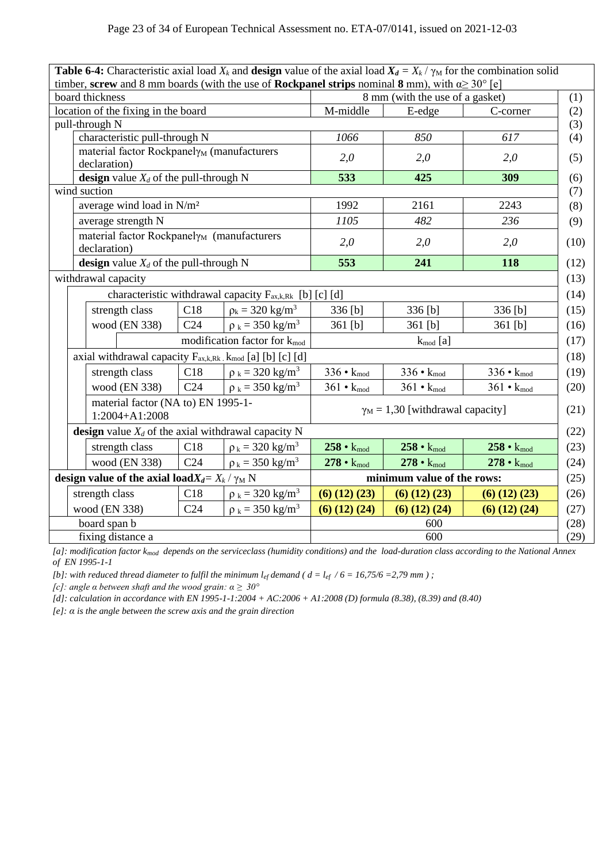|                                                                   | <b>Table 6-4:</b> Characteristic axial load $X_k$ and <b>design</b> value of the axial load $X_d = X_k / \gamma_M$ for the combination solid |                               |                                                               |                              |                                         |                              |
|-------------------------------------------------------------------|----------------------------------------------------------------------------------------------------------------------------------------------|-------------------------------|---------------------------------------------------------------|------------------------------|-----------------------------------------|------------------------------|
|                                                                   | timber, screw and 8 mm boards (with the use of Rockpanel strips nominal 8 mm), with $\alpha \geq 30^{\circ}$ [e]<br>board thickness          |                               |                                                               |                              | 8 mm (with the use of a gasket)         |                              |
|                                                                   | location of the fixing in the board                                                                                                          |                               |                                                               | $\overline{M}$ -middle       | E-edge                                  | C-corner                     |
|                                                                   | pull-through N                                                                                                                               |                               |                                                               |                              |                                         |                              |
|                                                                   | characteristic pull-through N                                                                                                                |                               |                                                               | 1066                         | 850                                     | 617                          |
|                                                                   | material factor Rockpanel $\gamma_M$ (manufacturers<br>declaration)                                                                          |                               |                                                               | 2,0                          | 2,0                                     | 2,0                          |
|                                                                   | design value $X_d$ of the pull-through N                                                                                                     |                               |                                                               | 533                          | 425                                     | 309                          |
|                                                                   | wind suction                                                                                                                                 |                               |                                                               |                              |                                         |                              |
|                                                                   | average wind load in N/m <sup>2</sup>                                                                                                        |                               |                                                               | 1992                         | 2161                                    | 2243                         |
|                                                                   | average strength N                                                                                                                           |                               |                                                               | 1105                         | 482                                     | 236                          |
|                                                                   | material factor Rockpanely $_M$ (manufacturers<br>declaration)                                                                               |                               |                                                               | 2,0                          | 2,0                                     | 2,0                          |
|                                                                   | design value $X_d$ of the pull-through N                                                                                                     |                               |                                                               | 553                          | 241                                     | 118                          |
|                                                                   | withdrawal capacity                                                                                                                          |                               |                                                               |                              |                                         |                              |
|                                                                   |                                                                                                                                              |                               | characteristic withdrawal capacity $F_{ax,k, Rk}$ [b] [c] [d] |                              |                                         |                              |
|                                                                   | strength class                                                                                                                               | C18                           | $\rho_k = 320 \text{ kg/m}^3$                                 | 336 [b]                      | 336 [b]                                 | 336 [b]                      |
|                                                                   | wood (EN 338)                                                                                                                                | C <sub>24</sub>               | $\rho_k = 350 \text{ kg/m}^3$                                 | $361$ [b]                    | $361$ [b]                               | $361$ [b]                    |
|                                                                   |                                                                                                                                              |                               | modification factor for k <sub>mod</sub>                      |                              | $k_{mod}$ [a]                           |                              |
|                                                                   | axial withdrawal capacity F <sub>ax,k,Rk</sub> k <sub>mod</sub> [a] [b] [c] [d]                                                              |                               |                                                               |                              |                                         |                              |
|                                                                   | strength class                                                                                                                               | C18                           | $\rho_k = 320 \text{ kg/m}^3$                                 | 336 $\cdot$ k <sub>mod</sub> | 336 $\cdot$ k <sub>mod</sub>            | 336 $\cdot$ k <sub>mod</sub> |
|                                                                   | wood (EN 338)                                                                                                                                | C <sub>24</sub>               | $\rho_k = 350 \text{ kg/m}^3$                                 | 361 • $k_{mod}$              | 361 • $k_{mod}$                         | $361 \cdot k_{mod}$          |
|                                                                   | material factor (NA to) EN 1995-1-<br>$1:2004+A1:2008$                                                                                       |                               |                                                               |                              | $\gamma_M = 1,30$ [withdrawal capacity] |                              |
|                                                                   | design value $X_d$ of the axial withdrawal capacity N                                                                                        |                               |                                                               |                              |                                         |                              |
|                                                                   | strength class                                                                                                                               | C18                           | $\rho_k = 320 \text{ kg/m}^3$                                 | $258 \cdot k_{mod}$          | $258 \cdot k_{mod}$                     | $258 \cdot k_{mod}$          |
|                                                                   | wood (EN 338)                                                                                                                                | C <sub>24</sub>               | $\rho_k = 350 \text{ kg/m}^3$                                 | $278 \cdot k_{mod}$          | $278 \cdot k_{mod}$                     | $278 \cdot k_{mod}$          |
|                                                                   | design value of the axial load $X_d = X_k / \gamma_M N$                                                                                      |                               |                                                               |                              | minimum value of the rows:              |                              |
|                                                                   | strength class                                                                                                                               | $\rho_k = 320 \text{ kg/m}^3$ | $(6)$ $(12)$ $(23)$                                           | $(6)$ $(12)$ $(23)$          | $(6)$ $(12)$ $(23)$                     |                              |
| wood (EN 338)<br>C <sub>24</sub><br>$\rho_k = 350 \text{ kg/m}^3$ |                                                                                                                                              |                               |                                                               | $(6)$ $(12)$ $(24)$          | $(6)$ $(12)$ $(24)$                     | $(6)$ $(12)$ $(24)$          |
| board span b                                                      |                                                                                                                                              |                               |                                                               | 600                          |                                         |                              |
| fixing distance a                                                 |                                                                                                                                              |                               |                                                               | 600                          |                                         |                              |

*[b]: with reduced thread diameter to fulfil the minimum*  $l_{ef}$  *demand (*  $d = l_{ef}$  */ 6 = 16,75/6 = 2,79 mm ) ;* 

*[c]: angle a between shaft and the wood grain:*  $\alpha \geq 30^{\circ}$ 

*[d]: calculation in accordance with EN 1995-1-1:2004 + AC:2006 + A1:2008 (D) formula (8.38), (8.39) and (8.40)*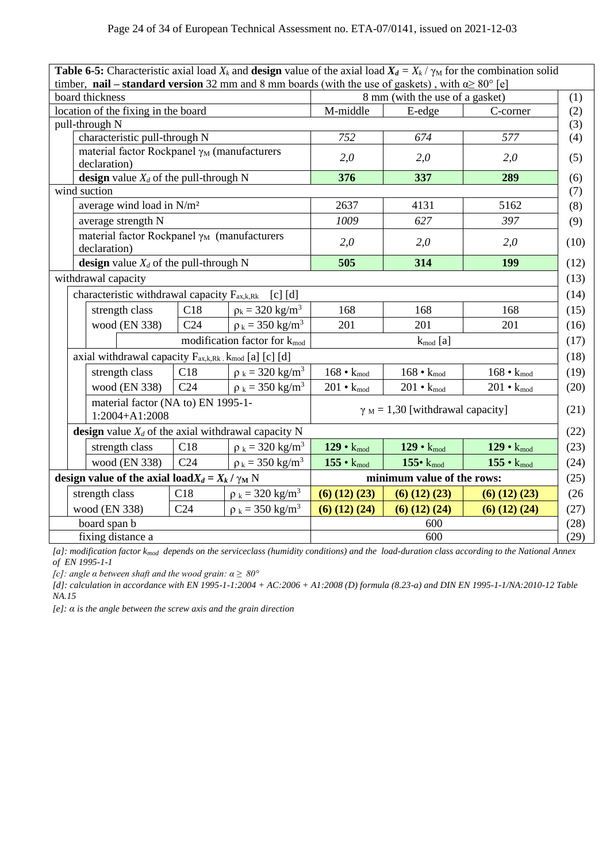| <b>Table 6-5:</b> Characteristic axial load $X_k$ and <b>design</b> value of the axial load $X_d = X_k / \gamma_M$ for the combination solid |                 |                                          |                     |                                                    |                     |
|----------------------------------------------------------------------------------------------------------------------------------------------|-----------------|------------------------------------------|---------------------|----------------------------------------------------|---------------------|
| timber, nail - standard version 32 mm and 8 mm boards (with the use of gaskets), with $\alpha \geq 80^{\circ}$ [e]<br>board thickness        |                 |                                          |                     | 8 mm (with the use of a gasket)                    |                     |
| location of the fixing in the board                                                                                                          |                 |                                          | M-middle            | E-edge                                             | C-corner            |
| pull-through N                                                                                                                               |                 |                                          |                     |                                                    |                     |
| characteristic pull-through N                                                                                                                |                 |                                          | 752                 | 674                                                | 577                 |
| material factor Rockpanel $\gamma_M$ (manufacturers                                                                                          |                 |                                          | 2,0                 | 2,0                                                | 2,0                 |
| declaration)                                                                                                                                 |                 |                                          |                     |                                                    |                     |
| <b>design</b> value $X_d$ of the pull-through N                                                                                              |                 |                                          | 376                 | 337                                                | 289                 |
| wind suction                                                                                                                                 |                 |                                          |                     |                                                    |                     |
| average wind load in N/m <sup>2</sup>                                                                                                        |                 |                                          | 2637                | 4131                                               | 5162                |
| average strength N                                                                                                                           |                 |                                          | 1009                | 627                                                | 397                 |
| material factor Rockpanel $\gamma_M$ (manufacturers<br>declaration)                                                                          |                 |                                          | 2,0                 | 2,0                                                | 2,0                 |
| <b>design</b> value $X_d$ of the pull-through N                                                                                              |                 |                                          | 505                 | 314                                                | 199                 |
| withdrawal capacity                                                                                                                          |                 |                                          |                     |                                                    |                     |
| characteristic withdrawal capacity F <sub>ax,k,Rk</sub>                                                                                      |                 | [c] [d]                                  |                     |                                                    |                     |
| strength class                                                                                                                               | C18             | $\rho_k = 320 \text{ kg/m}^3$            | 168                 | 168                                                | 168                 |
| wood (EN 338)                                                                                                                                | C <sub>24</sub> | $\rho_k = 350 \text{ kg/m}^3$            | 201                 | 201                                                | 201                 |
|                                                                                                                                              |                 | modification factor for k <sub>mod</sub> |                     | $k_{mod}$ [a]                                      |                     |
| axial withdrawal capacity F <sub>ax,k,Rk</sub> , k <sub>mod</sub> [a] [c] [d]                                                                |                 |                                          |                     |                                                    |                     |
| strength class                                                                                                                               | C18             | $\rho_k = 320 \text{ kg/m}^3$            | $168 \cdot k_{mod}$ | $168 \cdot k_{mod}$                                | $168 \cdot k_{mod}$ |
| wood (EN 338)                                                                                                                                | C <sub>24</sub> | $\rho_k = 350 \text{ kg/m}^3$            | 201 • $k_{mod}$     | 201 • $k_{mod}$                                    | 201 • $k_{mod}$     |
| material factor (NA to) EN 1995-1-<br>1:2004+A1:2008                                                                                         |                 |                                          |                     | $\gamma$ <sub>M</sub> = 1,30 [withdrawal capacity] |                     |
| design value $X_d$ of the axial withdrawal capacity N                                                                                        |                 |                                          |                     |                                                    |                     |
| strength class                                                                                                                               | C18             | $\rho_k = 320 \text{ kg/m}^3$            | $129 \cdot k_{mod}$ | $129 \cdot k_{mod}$                                | $129 \cdot k_{mod}$ |
| wood (EN 338)                                                                                                                                | C <sub>24</sub> | $\rho_k = 350 \text{ kg/m}^3$            | $155 \cdot k_{mod}$ | 155 $\cdot$ $k_{mod}$                              | $155 \cdot k_{mod}$ |
| design value of the axial load $X_d = X_k / \gamma_M N$                                                                                      |                 |                                          |                     | minimum value of the rows:                         |                     |
| strength class                                                                                                                               | C18             | $\rho_k = 320 \text{ kg/m}^3$            | $(6)$ $(12)$ $(23)$ | $(6)$ $(12)$ $(23)$                                | $(6)$ $(12)$ $(23)$ |
| wood (EN 338)                                                                                                                                | C <sub>24</sub> | $\rho_k = 350 \text{ kg/m}^3$            | $(6)$ $(12)$ $(24)$ | $(6)$ $(12)$ $(24)$                                | $(6)$ $(12)$ $(24)$ |
| board span b                                                                                                                                 |                 |                                          |                     | 600                                                |                     |
| fixing distance a                                                                                                                            |                 |                                          | 600                 |                                                    |                     |

*[c]: angle α between shaft and the wood grain: α ≥ 80°* 

*[d]: calculation in accordance with EN 1995-1-1:2004 + AC:2006 + A1:2008 (D) formula (8.23-a) and DIN EN 1995-1-1/NA:2010-12 Table NA.15*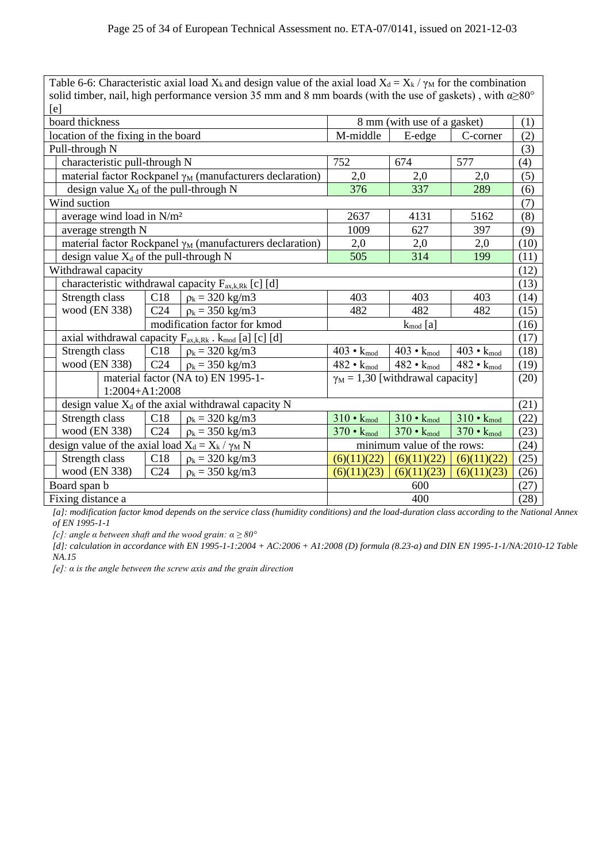| Table 6-6: Characteristic axial load $X_k$ and design value of the axial load $X_d = X_k / \gamma_M$ for the combination |                                                                                                                              |                                                                                                                          |                     |                                         |                     |      |  |
|--------------------------------------------------------------------------------------------------------------------------|------------------------------------------------------------------------------------------------------------------------------|--------------------------------------------------------------------------------------------------------------------------|---------------------|-----------------------------------------|---------------------|------|--|
|                                                                                                                          |                                                                                                                              | solid timber, nail, high performance version 35 mm and 8 mm boards (with the use of gaskets), with $\alpha \ge 80^\circ$ |                     |                                         |                     |      |  |
| [e]                                                                                                                      |                                                                                                                              |                                                                                                                          |                     |                                         |                     | (1)  |  |
|                                                                                                                          | board thickness<br>8 mm (with use of a gasket)                                                                               |                                                                                                                          |                     |                                         |                     |      |  |
| location of the fixing in the board                                                                                      |                                                                                                                              |                                                                                                                          | M-middle            | E-edge                                  | C-corner            | (2)  |  |
| Pull-through N                                                                                                           |                                                                                                                              |                                                                                                                          |                     |                                         |                     | (3)  |  |
| characteristic pull-through N                                                                                            |                                                                                                                              |                                                                                                                          | 752                 | 674                                     | 577                 | (4)  |  |
|                                                                                                                          |                                                                                                                              | material factor Rockpanel $\gamma_M$ (manufacturers declaration)                                                         | 2,0                 | 2,0                                     | 2,0                 | (5)  |  |
| design value $X_d$ of the pull-through N                                                                                 |                                                                                                                              |                                                                                                                          | 376                 | 337                                     | 289                 | (6)  |  |
| Wind suction                                                                                                             |                                                                                                                              |                                                                                                                          |                     |                                         |                     | (7)  |  |
| average wind load in N/m <sup>2</sup>                                                                                    |                                                                                                                              |                                                                                                                          | 2637                | 4131                                    | 5162                | (8)  |  |
| average strength N                                                                                                       |                                                                                                                              |                                                                                                                          | 1009                | 627                                     | 397                 | (9)  |  |
|                                                                                                                          |                                                                                                                              | material factor Rockpanel $\gamma_M$ (manufacturers declaration)                                                         | 2,0                 | 2,0                                     | 2,0                 | (10) |  |
| design value $X_d$ of the pull-through N                                                                                 |                                                                                                                              |                                                                                                                          | 505                 | 314                                     | 199                 | (11) |  |
| Withdrawal capacity                                                                                                      |                                                                                                                              |                                                                                                                          |                     |                                         |                     | (12) |  |
|                                                                                                                          |                                                                                                                              | characteristic withdrawal capacity F <sub>ax,k,Rk</sub> [c] [d]                                                          |                     |                                         |                     | (13) |  |
| Strength class                                                                                                           | C18                                                                                                                          | $\rho_k = 320 \text{ kg/m}3$                                                                                             | 403                 | 403                                     | 403                 | (14) |  |
| wood (EN 338)                                                                                                            | C <sub>24</sub>                                                                                                              | $\rho_k = 350 \text{ kg/m}3$                                                                                             | 482                 | 482                                     | 482                 | (15) |  |
|                                                                                                                          |                                                                                                                              | modification factor for kmod                                                                                             |                     | $k_{mod}$ [a]                           |                     | (16) |  |
|                                                                                                                          |                                                                                                                              | axial withdrawal capacity F <sub>ax,k,Rk</sub> . k <sub>mod</sub> [a] [c] [d]                                            |                     |                                         |                     | (17) |  |
| Strength class                                                                                                           | C18                                                                                                                          | $\rho_k = 320 \text{ kg/m}3$                                                                                             | $403 \cdot k_{mod}$ | $403 \cdot k_{mod}$                     | $403 \cdot k_{mod}$ | (18) |  |
| wood (EN 338)                                                                                                            | C <sub>24</sub>                                                                                                              | $\rho_k = 350 \text{ kg/m}3$                                                                                             | 482 • $k_{mod}$     | 482 • $k_{mod}$                         | 482 • $k_{mod}$     | (19) |  |
|                                                                                                                          |                                                                                                                              | material factor (NA to) EN 1995-1-                                                                                       |                     | $\gamma_M = 1,30$ [withdrawal capacity] |                     | (20) |  |
| 1:2004+A1:2008                                                                                                           |                                                                                                                              |                                                                                                                          |                     |                                         |                     |      |  |
|                                                                                                                          |                                                                                                                              | design value $X_d$ of the axial withdrawal capacity N                                                                    |                     |                                         |                     | (21) |  |
| Strength class                                                                                                           | C18                                                                                                                          | $\rho_k = 320 \text{ kg/m}3$                                                                                             | $310 \cdot k_{mod}$ | $310 \cdot k_{mod}$                     | $310 \cdot k_{mod}$ | (22) |  |
| wood (EN 338)                                                                                                            | C <sub>24</sub><br>$370 \cdot k_{mod}$<br>(23)<br>$\rho_k = 350 \text{ kg/m}3$<br>$370 \cdot k_{mod}$<br>$370 \cdot k_{mod}$ |                                                                                                                          |                     |                                         |                     |      |  |
|                                                                                                                          | minimum value of the rows:<br>design value of the axial load $X_d = X_k / \gamma_M N$                                        |                                                                                                                          |                     |                                         |                     |      |  |
| Strength class                                                                                                           | C18                                                                                                                          | $\rho_k = 320 \text{ kg/m}3$                                                                                             | (6)(11)(22)         | (6)(11)(22)                             | (6)(11)(22)         | (25) |  |
| wood (EN 338)                                                                                                            | C <sub>24</sub>                                                                                                              | $\rho_k = 350 \text{ kg/m}3$                                                                                             | (6)(11)(23)         | (6)(11)(23)                             | (6)(11)(23)         | (26) |  |
| Board span b<br>600                                                                                                      |                                                                                                                              |                                                                                                                          |                     |                                         |                     | (27) |  |
| Fixing distance a<br>400                                                                                                 |                                                                                                                              |                                                                                                                          |                     |                                         | (28)                |      |  |

*[c]: angle α between shaft and the wood grain: α ≥ 80°* 

*[d]: calculation in accordance with EN 1995-1-1:2004 + AC:2006 + A1:2008 (D) formula (8.23-a) and DIN EN 1995-1-1/NA:2010-12 Table NA.15*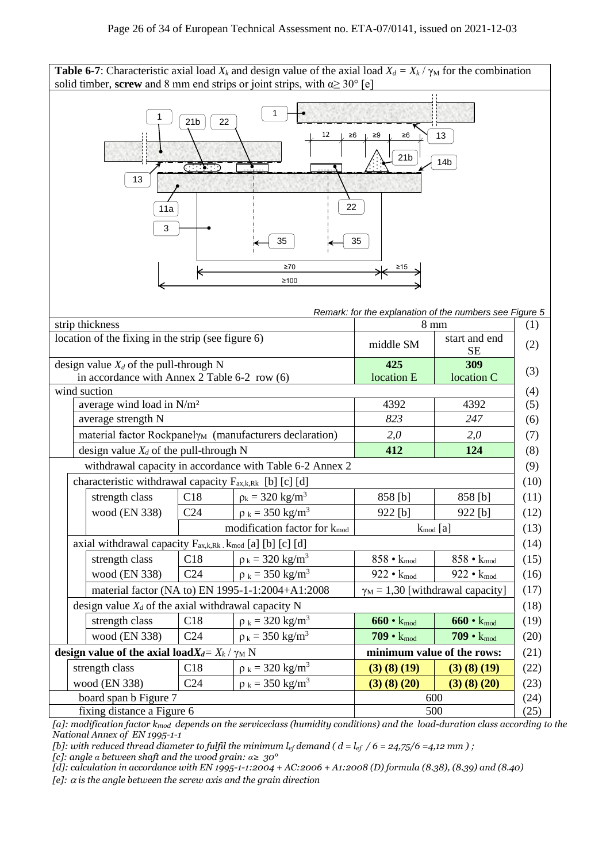|                                                                                                                                                                                                             |                                                                                                                    | <b>Table 6-7:</b> Characteristic axial load $X_k$ and design value of the axial load $X_d = X_k / \gamma_M$ for the combination<br>solid timber, screw and 8 mm end strips or joint strips, with $\alpha \geq 30^{\circ}$ [e] |                                                                         |                                                            |  |  |
|-------------------------------------------------------------------------------------------------------------------------------------------------------------------------------------------------------------|--------------------------------------------------------------------------------------------------------------------|-------------------------------------------------------------------------------------------------------------------------------------------------------------------------------------------------------------------------------|-------------------------------------------------------------------------|------------------------------------------------------------|--|--|
|                                                                                                                                                                                                             | 21 <sub>b</sub>                                                                                                    | 22<br>12<br>≥6                                                                                                                                                                                                                | ≥9<br>$\geq 6$                                                          | 13                                                         |  |  |
| 13<br>11a                                                                                                                                                                                                   | <u>ੋਹਾਨ</u>                                                                                                        | 22                                                                                                                                                                                                                            | 21 <sub>b</sub>                                                         | 14 <sub>b</sub>                                            |  |  |
| 3                                                                                                                                                                                                           |                                                                                                                    | 35<br>$\geq 70$<br>$≥100$                                                                                                                                                                                                     | 35<br>≥15                                                               |                                                            |  |  |
|                                                                                                                                                                                                             |                                                                                                                    |                                                                                                                                                                                                                               |                                                                         | Remark: for the explanation of the numbers see Figure 5    |  |  |
| strip thickness<br>location of the fixing in the strip (see figure 6)                                                                                                                                       |                                                                                                                    |                                                                                                                                                                                                                               | middle SM                                                               | $8 \text{ mm}$<br>(1)<br>start and end<br>(2)<br><b>SE</b> |  |  |
| design value $X_d$ of the pull-through N<br>in accordance with Annex 2 Table $6-2$ row $(6)$<br>wind suction                                                                                                |                                                                                                                    |                                                                                                                                                                                                                               | 425<br>location E                                                       | 309<br>(3)<br>location C                                   |  |  |
| average wind load in N/m <sup>2</sup><br>average strength N                                                                                                                                                 |                                                                                                                    |                                                                                                                                                                                                                               | 4392<br>823                                                             | (4)<br>4392<br>(5)<br>247<br>(6)                           |  |  |
| design value $X_d$ of the pull-through N                                                                                                                                                                    |                                                                                                                    | material factor Rockpanely <sub>M</sub> (manufacturers declaration)                                                                                                                                                           | 2,0<br>412                                                              | (7)<br><i>2,0</i><br>124<br>(8)                            |  |  |
| characteristic withdrawal capacity F <sub>ax,k,Rk</sub> [b] [c] [d]                                                                                                                                         |                                                                                                                    | withdrawal capacity in accordance with Table 6-2 Annex 2                                                                                                                                                                      |                                                                         | (9)<br>(10)                                                |  |  |
| strength class<br>wood (EN 338)                                                                                                                                                                             | C18<br>C <sub>24</sub>                                                                                             | $\rho_k = 320 \text{ kg/m}^3$<br>$\rho_k = 350 \text{ kg/m}^3$                                                                                                                                                                | 858 [b]<br>922 [b]                                                      | (11)<br>858 [b]<br>922 [b]<br>(12)                         |  |  |
| axial withdrawal capacity F <sub>ax,k,Rk</sub> k <sub>mod</sub> [a] [b] [c] [d]                                                                                                                             |                                                                                                                    | modification factor for k <sub>mod</sub>                                                                                                                                                                                      | $k_{mod}$ [a]                                                           | (13)<br>(14)                                               |  |  |
| strength class                                                                                                                                                                                              | C18                                                                                                                | $\rho_k = 320 \text{ kg/m}^3$                                                                                                                                                                                                 | 858 • $k_{mod}$                                                         | $858 \cdot k_{mod}$<br>(15)                                |  |  |
| wood (EN 338)                                                                                                                                                                                               | C <sub>24</sub>                                                                                                    | $\rho_k = 350 \text{ kg/m}^3$<br>material factor (NA to) EN 1995-1-1:2004+A1:2008                                                                                                                                             | 922 $\cdot$ k <sub>mod</sub><br>$\gamma_M = 1,30$ [withdrawal capacity] | 922 $\cdot$ k <sub>mod</sub><br>(16)<br>(17)               |  |  |
| design value $X_d$ of the axial withdrawal capacity N<br>strength class                                                                                                                                     | C18                                                                                                                | $\rho_k = 320 \text{ kg/m}^3$                                                                                                                                                                                                 | $660 \cdot k_{mod}$                                                     | (18)<br>$660 \cdot k_{mod}$                                |  |  |
| wood (EN 338)                                                                                                                                                                                               | (19)<br>$\rho_k = 350 \text{ kg/m}^3$<br>C <sub>24</sub><br>709 $\cdot$ $k_{mod}$<br>709 $\cdot$ $k_{mod}$<br>(20) |                                                                                                                                                                                                                               |                                                                         |                                                            |  |  |
| design value of the axial load $X_d = X_k / \gamma_M N$<br>minimum value of the rows:<br>(21)<br>C18<br>$\rho_k = 320 \text{ kg/m}^3$<br>strength class<br>$(3)$ $(8)$ $(19)$<br>(22)<br>$(3)$ $(8)$ $(19)$ |                                                                                                                    |                                                                                                                                                                                                                               |                                                                         |                                                            |  |  |
| $\rho_k = 350 \text{ kg/m}^3$<br>wood (EN 338)<br>C <sub>24</sub><br>$(3)$ $(8)$ $(20)$<br>(23)<br>$(3)$ $(8)$ $(20)$                                                                                       |                                                                                                                    |                                                                                                                                                                                                                               |                                                                         |                                                            |  |  |
| board span b Figure 7<br>fixing distance a Figure 6                                                                                                                                                         |                                                                                                                    | 500                                                                                                                                                                                                                           | 600<br>(24)<br>(25)                                                     |                                                            |  |  |

*[b]: with reduced thread diameter to fulfil the minimum*  $l_{ef}$  *demand ( d =*  $l_{ef}$  */ 6 = 24,75/6 =4,12 mm ) ;* 

*[c]: angle α between shaft and the wood grain: α≥ 30°* 

*[d]: calculation in accordance with EN 1995-1-1:2004 + AC:2006 + A1:2008 (D) formula (8.38), (8.39) and (8.40)*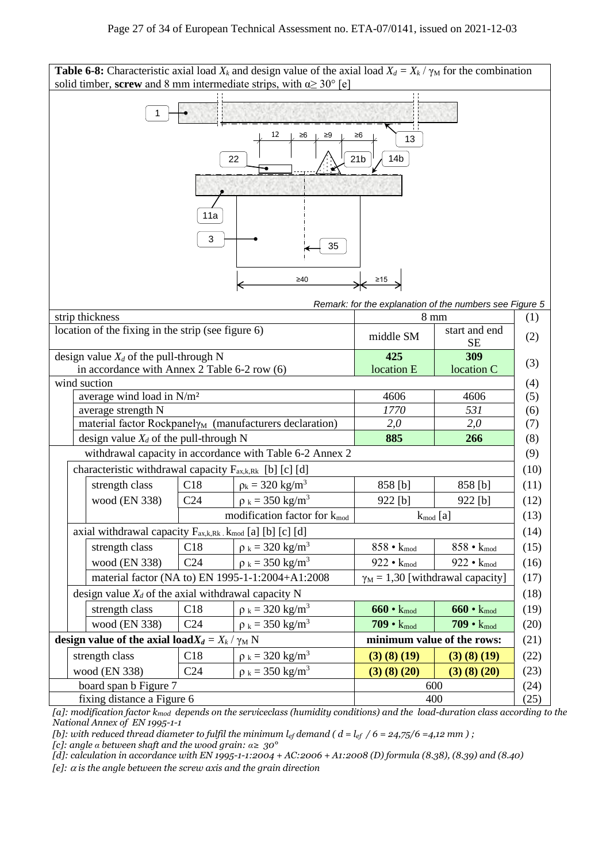|                                                                                                                                                                           |                                      | <b>Table 6-8:</b> Characteristic axial load $X_k$ and design value of the axial load $X_d = X_k / \gamma_M$ for the combination |                                    |                                                                           |  |
|---------------------------------------------------------------------------------------------------------------------------------------------------------------------------|--------------------------------------|---------------------------------------------------------------------------------------------------------------------------------|------------------------------------|---------------------------------------------------------------------------|--|
|                                                                                                                                                                           |                                      | solid timber, screw and 8 mm intermediate strips, with $\alpha \geq 30^{\circ}$ [e]                                             |                                    |                                                                           |  |
|                                                                                                                                                                           |                                      |                                                                                                                                 |                                    |                                                                           |  |
|                                                                                                                                                                           |                                      |                                                                                                                                 |                                    |                                                                           |  |
|                                                                                                                                                                           |                                      | 12<br>≥6<br>≥9                                                                                                                  | ≥6                                 |                                                                           |  |
|                                                                                                                                                                           |                                      |                                                                                                                                 | 13                                 |                                                                           |  |
|                                                                                                                                                                           |                                      | 22                                                                                                                              | 14 <sub>b</sub><br>21 <sub>b</sub> |                                                                           |  |
|                                                                                                                                                                           |                                      |                                                                                                                                 |                                    |                                                                           |  |
|                                                                                                                                                                           |                                      |                                                                                                                                 |                                    |                                                                           |  |
|                                                                                                                                                                           |                                      |                                                                                                                                 |                                    |                                                                           |  |
|                                                                                                                                                                           | 11a                                  |                                                                                                                                 |                                    |                                                                           |  |
|                                                                                                                                                                           | 3                                    |                                                                                                                                 |                                    |                                                                           |  |
|                                                                                                                                                                           |                                      | 35                                                                                                                              |                                    |                                                                           |  |
|                                                                                                                                                                           |                                      |                                                                                                                                 |                                    |                                                                           |  |
|                                                                                                                                                                           |                                      | $\geq 40$                                                                                                                       | ≥15                                |                                                                           |  |
|                                                                                                                                                                           |                                      |                                                                                                                                 |                                    |                                                                           |  |
| strip thickness                                                                                                                                                           |                                      |                                                                                                                                 |                                    | Remark: for the explanation of the numbers see Figure 5<br>$8 \text{ mm}$ |  |
| location of the fixing in the strip (see figure 6)                                                                                                                        |                                      |                                                                                                                                 |                                    | start and end                                                             |  |
|                                                                                                                                                                           |                                      |                                                                                                                                 | middle SM                          | <b>SE</b>                                                                 |  |
| design value $X_d$ of the pull-through N                                                                                                                                  |                                      |                                                                                                                                 | 425                                | 309                                                                       |  |
| in accordance with Annex 2 Table 6-2 row (6)                                                                                                                              |                                      |                                                                                                                                 | location E                         | location C                                                                |  |
| wind suction                                                                                                                                                              |                                      |                                                                                                                                 |                                    |                                                                           |  |
| average wind load in N/m <sup>2</sup>                                                                                                                                     |                                      |                                                                                                                                 | 4606                               | 4606                                                                      |  |
| average strength N                                                                                                                                                        |                                      |                                                                                                                                 | 1770                               | 531                                                                       |  |
|                                                                                                                                                                           |                                      | material factor Rockpanely <sub>M</sub> (manufacturers declaration)                                                             | 2,0                                | 2,0                                                                       |  |
| design value $X_d$ of the pull-through N                                                                                                                                  |                                      |                                                                                                                                 | 885                                | 266                                                                       |  |
|                                                                                                                                                                           |                                      | withdrawal capacity in accordance with Table 6-2 Annex 2                                                                        |                                    |                                                                           |  |
| characteristic withdrawal capacity $F_{ax,k,Rk}$ [b] [c] [d]                                                                                                              |                                      |                                                                                                                                 |                                    | (10)                                                                      |  |
| strength class                                                                                                                                                            | C18                                  | $\rho_k = 320 \text{ kg/m}^3$                                                                                                   | 858 [b]                            | 858 [b]<br>(11)                                                           |  |
| wood (EN 338)                                                                                                                                                             | C <sub>24</sub>                      | $\rho_k = 350 \text{ kg/m}^3$                                                                                                   | $922$ [b]                          | (12)<br>922 [b]                                                           |  |
|                                                                                                                                                                           |                                      | modification factor for k <sub>mod</sub>                                                                                        |                                    | (13)<br>$k_{mod}$ [a]                                                     |  |
| axial withdrawal capacity $F_{ax,k,Rk}$ . $k_{mod}$ [a] [b] [c] [d]                                                                                                       |                                      |                                                                                                                                 |                                    | (14)                                                                      |  |
| strength class                                                                                                                                                            | C18                                  | $\rho_k = 320 \text{ kg/m}^3$                                                                                                   | 858 • $k_{mod}$                    | 858 • $\rm k_{mod}$<br>(15)                                               |  |
| wood (EN 338)                                                                                                                                                             | C <sub>24</sub>                      | $\rho_k = 350 \text{ kg/m}^3$                                                                                                   | 922 • $k_{mod}$                    | 922 • $k_{mod}$                                                           |  |
|                                                                                                                                                                           |                                      | material factor (NA to) EN 1995-1-1:2004+A1:2008                                                                                |                                    | $\gamma_M = 1,30$ [withdrawal capacity]<br>(17)                           |  |
| design value $X_d$ of the axial withdrawal capacity N                                                                                                                     |                                      |                                                                                                                                 |                                    | (18)                                                                      |  |
| strength class                                                                                                                                                            | C18                                  | $\rho_k = 320 \text{ kg/m}^3$                                                                                                   | $660 \cdot k_{mod}$                | $660 \cdot k_{mod}$<br>(19)                                               |  |
| wood (EN 338)                                                                                                                                                             | C <sub>24</sub>                      | 709 $\cdot$ $k_{mod}$                                                                                                           | 709 • $k_{mod}$                    |                                                                           |  |
| design value of the axial load $X_d = X_k / \gamma_M N$                                                                                                                   |                                      | minimum value of the rows:<br>(21)                                                                                              |                                    |                                                                           |  |
| strength class                                                                                                                                                            | $\rho_k = 320 \text{ kg/m}^3$<br>C18 |                                                                                                                                 |                                    |                                                                           |  |
| (22)<br>$(3)$ $(8)$ $(19)$<br>$(3)$ $(8)$ $(19)$<br>$\rho_k = 350 \text{ kg/m}^3$<br>C <sub>24</sub><br>wood (EN 338)<br>$(3)$ $(8)$ $(20)$<br>(23)<br>$(3)$ $(8)$ $(20)$ |                                      |                                                                                                                                 |                                    |                                                                           |  |
| board span b Figure 7                                                                                                                                                     |                                      |                                                                                                                                 | 600                                |                                                                           |  |
| fixing distance a Figure 6                                                                                                                                                |                                      |                                                                                                                                 |                                    | 400                                                                       |  |

*[b]: with reduced thread diameter to fulfil the minimum*  $l_{ef}$  *demand ( d =*  $l_{ef}$  */ 6 = 24,75/6 =4,12 mm ) ;* 

*[c]: angle α between shaft and the wood grain: α≥ 30°* 

*[d]: calculation in accordance with EN 1995-1-1:2004 + AC:2006 + A1:2008 (D) formula (8.38), (8.39) and (8.40)*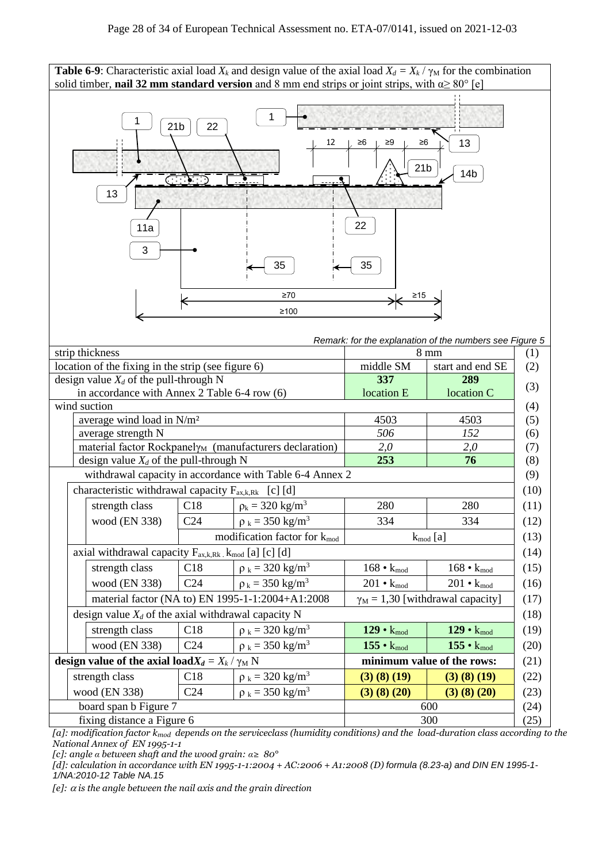| <b>Table 6-9:</b> Characteristic axial load $X_k$ and design value of the axial load $X_d = X_k / \gamma_M$ for the combination                                                                                                                              |                                                                   |                               |                                          |                                    |            |
|--------------------------------------------------------------------------------------------------------------------------------------------------------------------------------------------------------------------------------------------------------------|-------------------------------------------------------------------|-------------------------------|------------------------------------------|------------------------------------|------------|
| solid timber, nail 32 mm standard version and 8 mm end strips or joint strips, with $\alpha \geq 80^{\circ}$ [e]<br>1<br>21 <sub>b</sub><br>22<br>12<br>$\geq 6$<br>≥6<br>≥9<br>13<br>21 <sub>b</sub><br>14 <sub>b</sub><br>13<br>22<br>11a<br>3<br>35<br>35 |                                                                   |                               |                                          |                                    |            |
|                                                                                                                                                                                                                                                              |                                                                   | $\geq 70$                     | ≥15                                      |                                    |            |
|                                                                                                                                                                                                                                                              |                                                                   | $≥100$                        |                                          |                                    |            |
|                                                                                                                                                                                                                                                              |                                                                   |                               |                                          |                                    |            |
| Remark: for the explanation of the numbers see Figure 5                                                                                                                                                                                                      |                                                                   |                               |                                          |                                    |            |
| strip thickness<br>location of the fixing in the strip (see figure 6)                                                                                                                                                                                        |                                                                   |                               | middle SM                                | $8 \text{ mm}$<br>start and end SE | (1)<br>(2) |
| design value $X_d$ of the pull-through N                                                                                                                                                                                                                     |                                                                   |                               | 337                                      | 289                                |            |
| in accordance with Annex 2 Table 6-4 row (6)                                                                                                                                                                                                                 |                                                                   |                               | location E                               | location C                         | (3)        |
| wind suction                                                                                                                                                                                                                                                 |                                                                   |                               |                                          |                                    | (4)        |
| average wind load in N/m <sup>2</sup>                                                                                                                                                                                                                        |                                                                   |                               | 4503                                     | 4503                               | (5)        |
| average strength N                                                                                                                                                                                                                                           |                                                                   |                               | 506                                      | 152                                | (6)        |
| material factor Rockpanel $\gamma_M$ (manufacturers declaration)                                                                                                                                                                                             |                                                                   |                               | 2,0                                      | 2,0                                | (7)        |
| design value $X_d$ of the pull-through N                                                                                                                                                                                                                     |                                                                   |                               | 253                                      | 76                                 | (8)        |
| withdrawal capacity in accordance with Table 6-4 Annex 2<br>(9)                                                                                                                                                                                              |                                                                   |                               |                                          |                                    |            |
| characteristic withdrawal capacity F <sub>ax,k,Rk</sub><br>[c] [d]                                                                                                                                                                                           |                                                                   |                               |                                          | (10)                               |            |
| strength class                                                                                                                                                                                                                                               | C18                                                               | $\rho_k = 320 \text{ kg/m}^3$ | 280                                      | 280                                | (11)       |
| wood (EN 338)                                                                                                                                                                                                                                                | C <sub>24</sub>                                                   | $\rho_k = 350 \text{ kg/m}^3$ | 334                                      | 334                                | (12)       |
| modification factor for $k_{mod}$<br>(13)<br>$k_{mod}$ [a]<br>axial withdrawal capacity F <sub>ax,k,Rk</sub> , k <sub>mod</sub> [a] [c] [d]                                                                                                                  |                                                                   |                               |                                          |                                    |            |
|                                                                                                                                                                                                                                                              |                                                                   |                               |                                          |                                    | (14)       |
| strength class                                                                                                                                                                                                                                               | C18                                                               | $\rho_k = 320 \text{ kg/m}^3$ | $168 \cdot k_{mod}$                      | $168 \cdot k_{mod}$                | (15)       |
| wood (EN 338)                                                                                                                                                                                                                                                | C <sub>24</sub>                                                   | $\rho_k = 350 \text{ kg/m}^3$ | 201 • $k_{mod}$                          | 201 • $k_{mod}$                    | (16)       |
| material factor (NA to) EN 1995-1-1:2004+A1:2008<br>$\gamma_M = 1,30$ [withdrawal capacity]<br>design value $X_d$ of the axial withdrawal capacity N                                                                                                         |                                                                   |                               |                                          | (17)                               |            |
|                                                                                                                                                                                                                                                              |                                                                   |                               |                                          |                                    | (18)       |
| strength class                                                                                                                                                                                                                                               | C18                                                               | $\rho_k = 320 \text{ kg/m}^3$ | $129 \cdot k_{mod}$                      | $129 \cdot k_{mod}$                | (19)       |
| wood (EN 338)                                                                                                                                                                                                                                                | C <sub>24</sub>                                                   | $\rho_k = 350 \text{ kg/m}^3$ | $155 \cdot k_{mod}$                      | $155 \cdot k_{mod}$                | (20)       |
| design value of the axial load $X_d = X_k / \gamma_M N$                                                                                                                                                                                                      |                                                                   |                               |                                          | minimum value of the rows:         | (21)       |
| strength class                                                                                                                                                                                                                                               | C18                                                               | $\rho_k = 320 \text{ kg/m}^3$ | $(3)$ $(8)$ $(19)$<br>$(3)$ $(8)$ $(20)$ | $(3)$ $(8)$ $(19)$                 | (22)       |
|                                                                                                                                                                                                                                                              | $\rho_k = 350 \text{ kg/m}^3$<br>wood (EN 338)<br>C <sub>24</sub> |                               |                                          | $(3)$ $(8)$ $(20)$                 | (23)       |
| board span b Figure 7                                                                                                                                                                                                                                        |                                                                   |                               |                                          | 600                                | (24)       |
| fixing distance a Figure 6                                                                                                                                                                                                                                   |                                                                   |                               | 300                                      |                                    | (25)       |

*[c]: angle α between shaft and the wood grain: α≥ 80°* 

*[d]: calculation in accordance with EN 1995-1-1:2004 + AC:2006 + A1:2008 (D) formula (8.23-a) and DIN EN 1995-1- 1/NA:2010-12 Table NA.15*

*[e]:*  $\alpha$  *is the angle between the nail axis and the grain direction*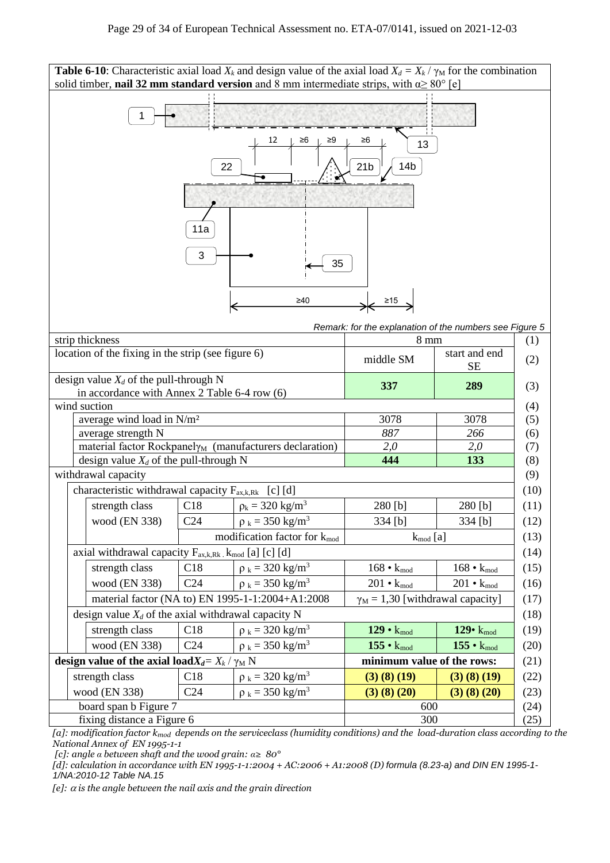|                                                                                        |                                                                               |                 | <b>Table 6-10:</b> Characteristic axial load $X_k$ and design value of the axial load $X_d = X_k / \gamma_M$ for the combination |                                                         |                              |      |
|----------------------------------------------------------------------------------------|-------------------------------------------------------------------------------|-----------------|----------------------------------------------------------------------------------------------------------------------------------|---------------------------------------------------------|------------------------------|------|
|                                                                                        |                                                                               |                 | solid timber, nail 32 mm standard version and 8 mm intermediate strips, with $\alpha \ge 80^{\circ}$ [e]                         |                                                         |                              |      |
|                                                                                        |                                                                               |                 |                                                                                                                                  |                                                         |                              |      |
| 12<br>≥6<br>≥9<br>≥6<br>13                                                             |                                                                               |                 |                                                                                                                                  |                                                         |                              |      |
|                                                                                        |                                                                               |                 |                                                                                                                                  | 14 <sub>b</sub>                                         |                              |      |
|                                                                                        |                                                                               | 22              |                                                                                                                                  | 21 <sub>b</sub>                                         |                              |      |
|                                                                                        |                                                                               |                 |                                                                                                                                  |                                                         |                              |      |
|                                                                                        |                                                                               |                 |                                                                                                                                  |                                                         |                              |      |
|                                                                                        |                                                                               | 11a             |                                                                                                                                  |                                                         |                              |      |
|                                                                                        |                                                                               |                 |                                                                                                                                  |                                                         |                              |      |
| 3<br>35                                                                                |                                                                               |                 |                                                                                                                                  |                                                         |                              |      |
|                                                                                        |                                                                               |                 |                                                                                                                                  |                                                         |                              |      |
|                                                                                        |                                                                               |                 |                                                                                                                                  |                                                         |                              |      |
|                                                                                        |                                                                               |                 | $\geq 40$                                                                                                                        | $\geq 15$                                               |                              |      |
|                                                                                        |                                                                               |                 |                                                                                                                                  | Remark: for the explanation of the numbers see Figure 5 |                              |      |
|                                                                                        | strip thickness                                                               |                 |                                                                                                                                  | $8 \text{ mm}$                                          |                              | (1)  |
| location of the fixing in the strip (see figure 6)                                     |                                                                               |                 | middle SM                                                                                                                        | start and end<br><b>SE</b>                              | (2)                          |      |
| design value $X_d$ of the pull-through N                                               |                                                                               |                 | 337                                                                                                                              | 289                                                     | (3)                          |      |
| in accordance with Annex 2 Table 6-4 row (6)                                           |                                                                               |                 |                                                                                                                                  |                                                         |                              |      |
| wind suction                                                                           |                                                                               |                 |                                                                                                                                  |                                                         | (4)                          |      |
| average wind load in N/m <sup>2</sup>                                                  |                                                                               |                 | 3078<br>887                                                                                                                      | 3078<br>266                                             | (5)<br>(6)                   |      |
| average strength N<br>material factor Rockpanel $\gamma_M$ (manufacturers declaration) |                                                                               |                 | <i>2,0</i>                                                                                                                       | 2,0                                                     | (7)                          |      |
| design value $X_d$ of the pull-through N                                               |                                                                               |                 | 444                                                                                                                              | 133                                                     | (8)                          |      |
|                                                                                        | withdrawal capacity                                                           |                 |                                                                                                                                  |                                                         |                              | (9)  |
| characteristic withdrawal capacity $F_{ax,k,Rk}$<br>[c] [d]                            |                                                                               |                 |                                                                                                                                  |                                                         | (10)                         |      |
|                                                                                        | strength class                                                                | C18             | $\rho_k = 320 \text{ kg/m}^3$                                                                                                    | 280 [b]                                                 | 280 [b]                      | (11) |
|                                                                                        | wood (EN 338)                                                                 | C <sub>24</sub> | $\rho_k = 350 \text{ kg/m}^3$                                                                                                    | 334 [b]                                                 | 334 [b]                      | (12) |
| modification factor for k <sub>mod</sub>                                               |                                                                               |                 |                                                                                                                                  | $k_{mod}$ [a]                                           |                              | (13) |
|                                                                                        | axial withdrawal capacity F <sub>ax,k,Rk</sub> , k <sub>mod</sub> [a] [c] [d] |                 |                                                                                                                                  |                                                         |                              | (14) |
|                                                                                        | strength class                                                                | C18             | $\rho_k = 320 \text{ kg/m}^3$                                                                                                    | $168 \cdot k_{mod}$                                     | $168 \cdot k_{mod}$          | (15) |
|                                                                                        | wood (EN 338)                                                                 | C <sub>24</sub> | $\rho_k = 350 \text{ kg/m}^3$                                                                                                    | 201 • $k_{mod}$                                         | $201 \cdot k_{mod}$          | (16) |
| material factor (NA to) EN 1995-1-1:2004+A1:2008                                       |                                                                               |                 | $\gamma_M = 1,30$ [withdrawal capacity]                                                                                          |                                                         | (17)                         |      |
| design value $X_d$ of the axial withdrawal capacity N                                  |                                                                               |                 |                                                                                                                                  |                                                         | (18)                         |      |
|                                                                                        | strength class                                                                | C18             | $\rho_k = 320 \text{ kg/m}^3$                                                                                                    | $129 \cdot k_{mod}$                                     | 129 $\cdot$ k <sub>mod</sub> | (19) |
|                                                                                        | wood (EN 338)                                                                 | C <sub>24</sub> | $\rho_k = 350 \text{ kg/m}^3$                                                                                                    | $155 \cdot k_{mod}$                                     | $155 \cdot k_{mod}$          | (20) |
| design value of the axial load $X_d = X_k / \gamma_M N$                                |                                                                               |                 | minimum value of the rows:                                                                                                       |                                                         | (21)                         |      |
|                                                                                        | strength class                                                                | C18             | $\rho_k = 320 \text{ kg/m}^3$                                                                                                    | $(3)$ $(8)$ $(19)$                                      | $(3)$ $(8)$ $(19)$           | (22) |
| $\rho_k = 350 \text{ kg/m}^3$<br>wood (EN 338)<br>C <sub>24</sub>                      |                                                                               |                 | $(3)$ $(8)$ $(20)$                                                                                                               | $(3)$ $(8)$ $(20)$                                      | (23)                         |      |
| board span b Figure 7                                                                  |                                                                               |                 | 600                                                                                                                              |                                                         | (24)                         |      |
| fixing distance a Figure 6                                                             |                                                                               |                 | 300                                                                                                                              |                                                         | (25)                         |      |

*[c]: angle α between shaft and the wood grain: α≥ 80°* 

*[d]: calculation in accordance with EN 1995-1-1:2004 + AC:2006 + A1:2008 (D) formula (8.23-a) and DIN EN 1995-1- 1/NA:2010-12 Table NA.15*

 $[e]$ :  $\alpha$  is the angle between the nail axis and the grain direction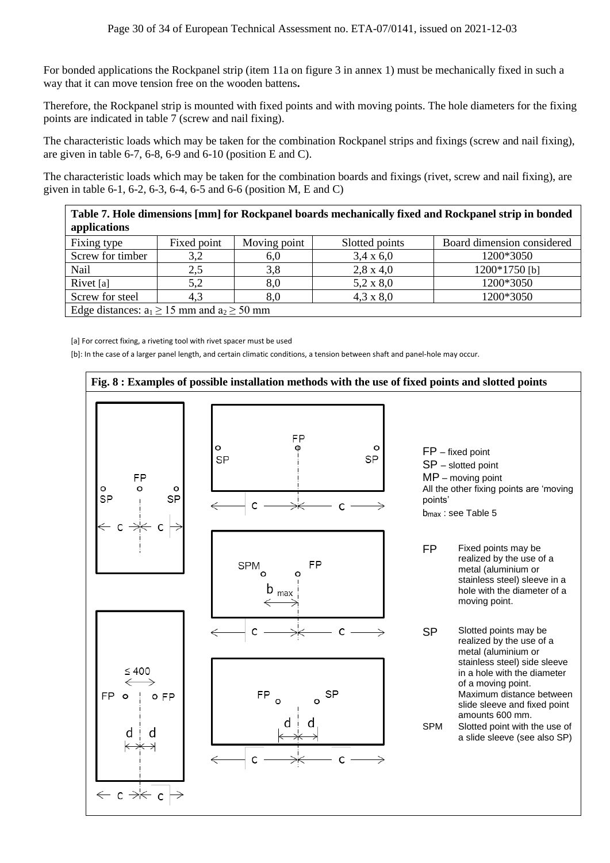For bonded applications the Rockpanel strip (item 11a on figure 3 in annex 1) must be mechanically fixed in such a way that it can move tension free on the wooden battens**.**

Therefore, the Rockpanel strip is mounted with fixed points and with moving points. The hole diameters for the fixing points are indicated in table  $\overline{7}$  (screw and nail fixing).

The characteristic loads which may be taken for the combination Rockpanel strips and fixings (screw and nail fixing), are given in table 6-7, 6-8, 6-9 and 6-10 (position E and C).

The characteristic loads which may be taken for the combination boards and fixings (rivet, screw and nail fixing), are given in table 6-1, 6-2, 6-3, 6-4, 6-5 and 6-6 (position M, E and C)

**Table 7. Hole dimensions [mm] for Rockpanel boards mechanically fixed and Rockpanel strip in bonded applications**

| Fixing type                                         | Fixed point | Moving point | Slotted points   | Board dimension considered |
|-----------------------------------------------------|-------------|--------------|------------------|----------------------------|
| Screw for timber                                    | 3,2         | 6,0          | $3,4 \times 6,0$ | 1200*3050                  |
| <b>Nail</b>                                         | 2.5         | 3,8          | $2,8 \times 4,0$ | 1200*1750 [b]              |
| Rivet $[a]$                                         | 5,2         | $_{\rm 8.0}$ | $5,2 \times 8,0$ | 1200*3050                  |
| Screw for steel                                     | 4,3         | 8.0          | $4,3 \times 8,0$ | 1200*3050                  |
| Edge distances: $a_1 \ge 15$ mm and $a_2 \ge 50$ mm |             |              |                  |                            |

[a] For correct fixing, a riveting tool with rivet spacer must be used

[b]: In the case of a larger panel length, and certain climatic conditions, a tension between shaft and panel-hole may occur.

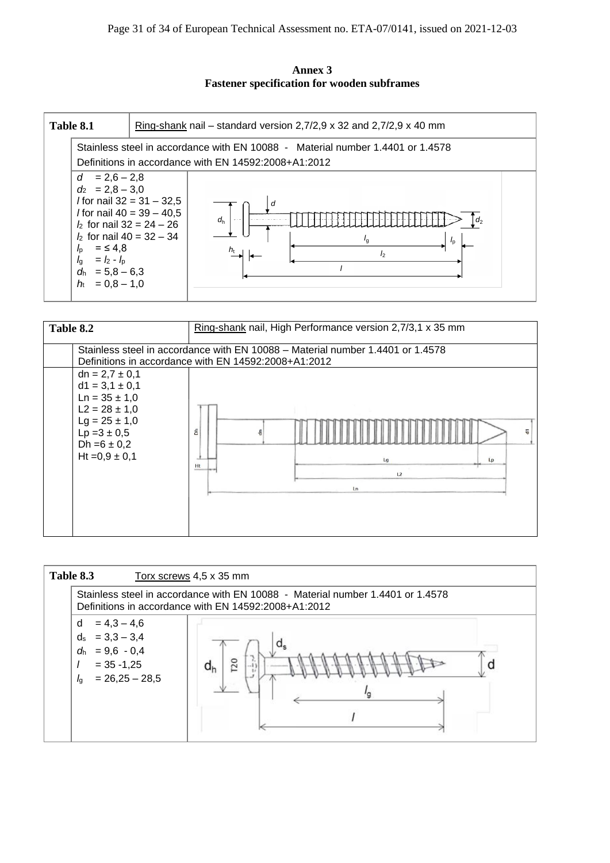**Annex 3 Fastener specification for wooden subframes**





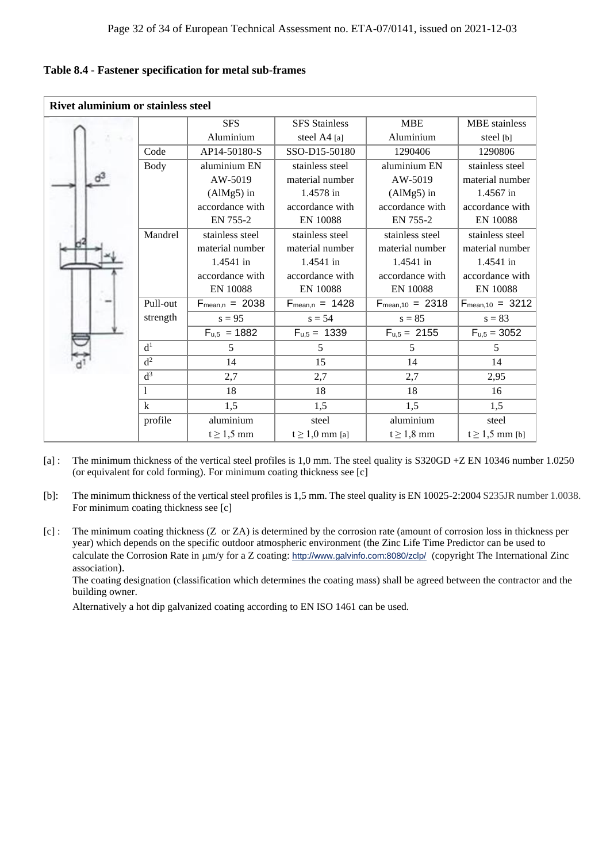| <b>Rivet aluminium or stainless steel</b> |                  |                     |                      |                       |                       |
|-------------------------------------------|------------------|---------------------|----------------------|-----------------------|-----------------------|
|                                           |                  | <b>SFS</b>          | <b>SFS</b> Stainless | <b>MBE</b>            | <b>MBE</b> stainless  |
|                                           |                  | Aluminium           | steel A4 [a]         | Aluminium             | steel [b]             |
|                                           | Code             | AP14-50180-S        | SSO-D15-50180        | 1290406               | 1290806               |
|                                           | <b>Body</b>      | aluminium EN        | stainless steel      | aluminium EN          | stainless steel       |
|                                           |                  | AW-5019             | material number      | AW-5019               | material number       |
|                                           |                  | $(AIMg5)$ in        | 1.4578 in            | $(AIMg5)$ in          | 1.4567 in             |
|                                           |                  | accordance with     | accordance with      | accordance with       | accordance with       |
|                                           |                  | EN 755-2            | <b>EN 10088</b>      | EN 755-2              | <b>EN 10088</b>       |
|                                           | Mandrel          | stainless steel     | stainless steel      | stainless steel       | stainless steel       |
|                                           |                  | material number     | material number      | material number       | material number       |
|                                           |                  | 1.4541 in           | 1.4541 in            | 1.4541 in             | 1.4541 in             |
|                                           |                  | accordance with     | accordance with      | accordance with       | accordance with       |
|                                           |                  | <b>EN 10088</b>     | <b>EN 10088</b>      | <b>EN 10088</b>       | EN 10088              |
|                                           | Pull-out         | $F_{mean,n} = 2038$ | $F_{mean,n} = 1428$  | $F_{mean, 10} = 2318$ | $F_{mean, 10} = 3212$ |
|                                           | strength         | $s = 95$            | $s = 54$             | $s = 85$              | $s = 83$              |
|                                           |                  | $F_{u,5} = 1882$    | $F_{u,5} = 1339$     | $F_{u,5} = 2155$      | $F_{u,5} = 3052$      |
|                                           | d <sup>1</sup>   | 5                   | 5                    | 5                     | 5                     |
|                                           | d <sup>2</sup>   | 14                  | 15                   | 14                    | 14                    |
|                                           | $\overline{d^3}$ | 2,7                 | 2,7                  | 2,7                   | 2,95                  |
|                                           | 1                | 18                  | 18                   | 18                    | 16                    |
|                                           | $\bf k$          | 1,5                 | 1,5                  | 1,5                   | 1,5                   |
|                                           | profile          | aluminium           | steel                | aluminium             | steel                 |
|                                           |                  | $t \geq 1.5$ mm     | $t \geq 1,0$ mm [a]  | $t \geq 1,8$ mm       | $t \geq 1.5$ mm [b]   |

- [a] : The minimum thickness of the vertical steel profiles is 1,0 mm. The steel quality is S320GD +Z EN 10346 number 1.0250 (or equivalent for cold forming). For minimum coating thickness see [c]
- [b]: The minimum thickness of the vertical steel profiles is 1,5 mm. The steel quality is EN 10025-2:2004 S235JR number 1.0038. For minimum coating thickness see [c]
- [c] : The minimum coating thickness (Z or ZA) is determined by the corrosion rate (amount of corrosion loss in thickness per year) which depends on the specific outdoor atmospheric environment (the Zinc Life Time Predictor can be used to calculate the Corrosion Rate in  $\mu$ m/y for a Z coating: <http://www.galvinfo.com:8080/zclp/> (copyright The International Zinc association).

The coating designation (classification which determines the coating mass) shall be agreed between the contractor and the building owner.

Alternatively a hot dip galvanized coating according to EN ISO 1461 can be used.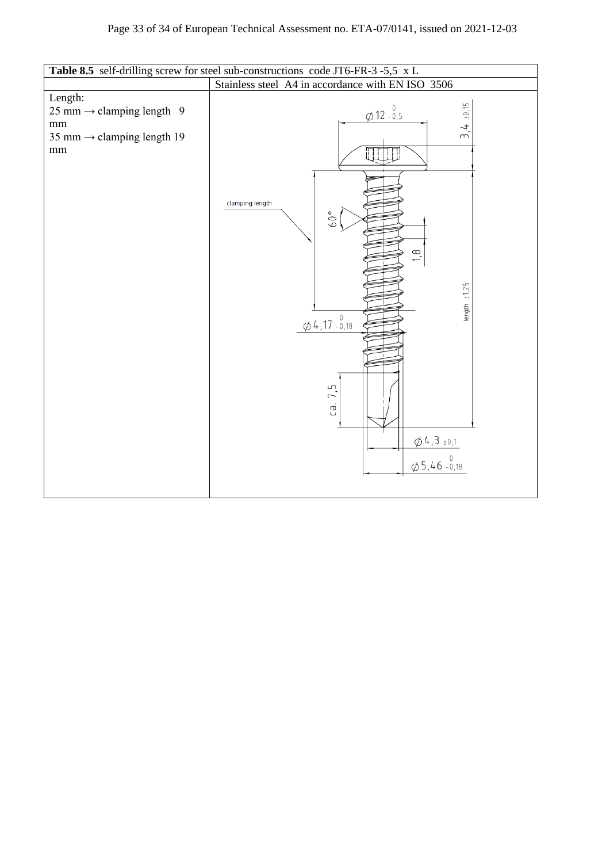